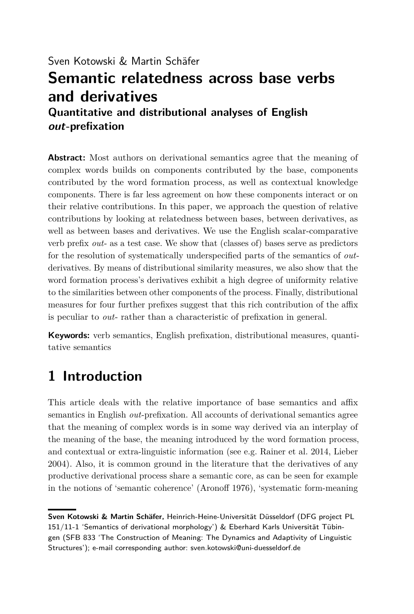### Sven Kotowski & Martin Schäfer **Semantic relatedness across base verbs and derivatives Quantitative and distributional analyses of English out-prefixation**

**Abstract:** Most authors on derivational semantics agree that the meaning of complex words builds on components contributed by the base, components contributed by the word formation process, as well as contextual knowledge components. There is far less agreement on how these components interact or on their relative contributions. In this paper, we approach the question of relative contributions by looking at relatedness between bases, between derivatives, as well as between bases and derivatives. We use the English scalar-comparative verb prefix *out*- as a test case. We show that (classes of) bases serve as predictors for the resolution of systematically underspecified parts of the semantics of *out*derivatives. By means of distributional similarity measures, we also show that the word formation process's derivatives exhibit a high degree of uniformity relative to the similarities between other components of the process. Finally, distributional measures for four further prefixes suggest that this rich contribution of the affix is peculiar to *out*- rather than a characteristic of prefixation in general.

**Keywords:** verb semantics, English prefixation, distributional measures, quantitative semantics

## **1 Introduction**

This article deals with the relative importance of base semantics and affix semantics in English *out*-prefixation. All accounts of derivational semantics agree that the meaning of complex words is in some way derived via an interplay of the meaning of the base, the meaning introduced by the word formation process, and contextual or extra-linguistic information (see e.g. [Rainer et al. 2014,](#page-41-0) [Lieber](#page-40-0) [2004\)](#page-40-0). Also, it is common ground in the literature that the derivatives of any productive derivational process share a semantic core, as can be seen for example in the notions of 'semantic coherence' [\(Aronoff 1976\)](#page-39-0), 'systematic form-meaning

**Sven Kotowski & Martin Schäfer,** Heinrich-Heine-Universität Düsseldorf (DFG project PL 151/11-1 'Semantics of derivational morphology') & Eberhard Karls Universität Tübingen (SFB 833 'The Construction of Meaning: The Dynamics and Adaptivity of Linguistic Structures'); e-mail corresponding author: sven.kotowski@uni-duesseldorf.de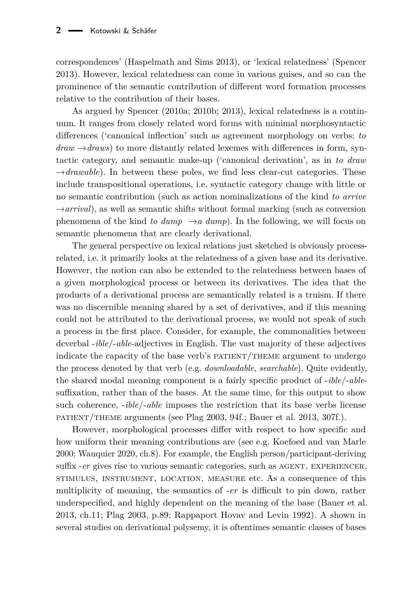correspondences' [\(Haspelmath and Sims 2013\)](#page-40-1), or 'lexical relatedness' [\(Spencer](#page-41-1) [2013\)](#page-41-1). However, lexical relatedness can come in various guises, and so can the prominence of the semantic contribution of different word formation processes relative to the contribution of their bases.

As argued by Spencer [\(2010a;](#page-41-2) [2010b;](#page-41-3) [2013\)](#page-41-1), lexical relatedness is a continuum. It ranges from closely related word forms with minimal morphosyntactic differences ('canonical inflection' such as agreement morphology on verbs; *to*  $draw \rightarrow draws$ ) to more distantly related lexemes with differences in form, syntactic category, and semantic make-up ('canonical derivation', as in *to draw*  $\rightarrow$ *drawable*). In between these poles, we find less clear-cut categories. These include transpositional operations, i.e. syntactic category change with little or no semantic contribution (such as action nominalizations of the kind *to arrive*  $\rightarrow$ *arrival*), as well as semantic shifts without formal marking (such as conversion phenomena of the kind *to dump*  $\rightarrow a$  *dump*). In the following, we will focus on semantic phenomena that are clearly derivational.

The general perspective on lexical relations just sketched is obviously processrelated, i.e. it primarily looks at the relatedness of a given base and its derivative. However, the notion can also be extended to the relatedness between bases of a given morphological process or between its derivatives. The idea that the products of a derivational process are semantically related is a truism. If there was no discernible meaning shared by a set of derivatives, and if this meaning could not be attributed to the derivational process, we would not speak of such a process in the first place. Consider, for example, the commonalities between deverbal -*ible*/-*able*-adjectives in English. The vast majority of these adjectives indicate the capacity of the base verb's PATIENT/THEME argument to undergo the process denoted by that verb (e.g. *downloadable*, *searchable*). Quite evidently, the shared modal meaning component is a fairly specific product of -*ible*/-*able*suffixation, rather than of the bases. At the same time, for this output to show such coherence, -*ible*/-*able* imposes the restriction that its base verbs license patient/theme arguments (see [Plag 2003,](#page-41-4) 94f.; [Bauer et al. 2013,](#page-39-1) 307f.).

However, morphological processes differ with respect to how specific and how uniform their meaning contributions are (see e.g. [Koefoed and van Marle](#page-40-2) [2000;](#page-40-2) [Wauquier 2020,](#page-41-5) ch.8). For example, the English person/participant-deriving suffix -*er* gives rise to various semantic categories, such as AGENT, EXPERIENCER, stimulus, instrument, location, measure etc. As a consequence of this multiplicity of meaning, the semantics of -*er* is difficult to pin down, rather underspecified, and highly dependent on the meaning of the base [\(Bauer et al.](#page-39-1) [2013,](#page-39-1) ch.11; [Plag 2003,](#page-41-4) p.89; [Rappaport Hovav and Levin 1992\)](#page-41-6). A shown in several studies on derivational polysemy, it is oftentimes semantic classes of bases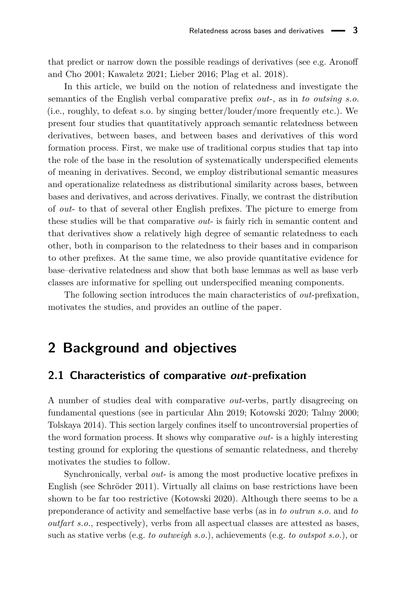that predict or narrow down the possible readings of derivatives (see e.g. [Aronoff](#page-39-2) [and Cho 2001;](#page-39-2) [Kawaletz 2021;](#page-40-3) [Lieber 2016;](#page-40-4) [Plag et al. 2018\)](#page-41-7).

In this article, we build on the notion of relatedness and investigate the semantics of the English verbal comparative prefix *out*-, as in *to outsing s.o.* (i.e., roughly, to defeat s.o. by singing better/louder/more frequently etc.). We present four studies that quantitatively approach semantic relatedness between derivatives, between bases, and between bases and derivatives of this word formation process. First, we make use of traditional corpus studies that tap into the role of the base in the resolution of systematically underspecified elements of meaning in derivatives. Second, we employ distributional semantic measures and operationalize relatedness as distributional similarity across bases, between bases and derivatives, and across derivatives. Finally, we contrast the distribution of *out*- to that of several other English prefixes. The picture to emerge from these studies will be that comparative *out*- is fairly rich in semantic content and that derivatives show a relatively high degree of semantic relatedness to each other, both in comparison to the relatedness to their bases and in comparison to other prefixes. At the same time, we also provide quantitative evidence for base–derivative relatedness and show that both base lemmas as well as base verb classes are informative for spelling out underspecified meaning components.

The following section introduces the main characteristics of *out*-prefixation, motivates the studies, and provides an outline of the paper.

### **2 Background and objectives**

#### <span id="page-2-0"></span>**2.1 Characteristics of comparative out-prefixation**

A number of studies deal with comparative *out*-verbs, partly disagreeing on fundamental questions (see in particular [Ahn 2019;](#page-39-3) [Kotowski 2020;](#page-40-5) [Talmy 2000;](#page-41-8) [Tolskaya 2014\)](#page-41-9). This section largely confines itself to uncontroversial properties of the word formation process. It shows why comparative *out*- is a highly interesting testing ground for exploring the questions of semantic relatedness, and thereby motivates the studies to follow.

Synchronically, verbal *out*- is among the most productive locative prefixes in English (see [Schröder 2011\)](#page-41-10). Virtually all claims on base restrictions have been shown to be far too restrictive [\(Kotowski 2020\)](#page-40-5). Although there seems to be a preponderance of activity and semelfactive base verbs (as in *to outrun s.o.* and *to outfart s.o.*, respectively), verbs from all aspectual classes are attested as bases, such as stative verbs (e.g. *to outweigh s.o.*), achievements (e.g. *to outspot s.o.*), or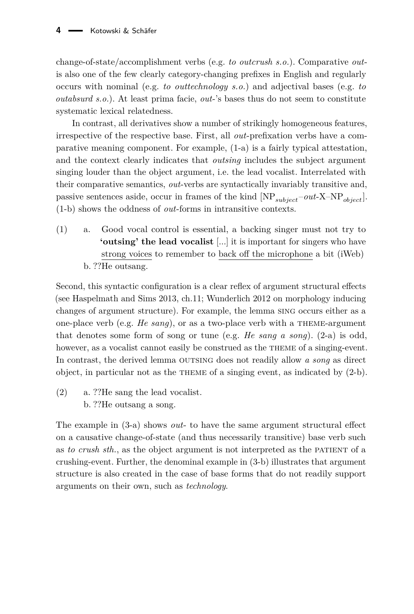change-of-state/accomplishment verbs (e.g. *to outcrush s.o.*). Comparative *out*is also one of the few clearly category-changing prefixes in English and regularly occurs with nominal (e.g. *to outtechnology s.o.*) and adjectival bases (e.g. *to outabsurd s.o.*). At least prima facie, *out*-'s bases thus do not seem to constitute systematic lexical relatedness.

In contrast, all derivatives show a number of strikingly homogeneous features, irrespective of the respective base. First, all *out*-prefixation verbs have a comparative meaning component. For example, (1-a) is a fairly typical attestation, and the context clearly indicates that *outsing* includes the subject argument singing louder than the object argument, i.e. the lead vocalist. Interrelated with their comparative semantics, *out*-verbs are syntactically invariably transitive and, passive sentences aside, occur in frames of the kind  $[NP_{subject}-out-X-NP_{obiect}].$ (1-b) shows the oddness of *out*-forms in intransitive contexts.

<span id="page-3-0"></span>(1) a. Good vocal control is essential, a backing singer must not try to **'outsing' the lead vocalist** [...] it is important for singers who have strong voices to remember to back off the microphone a bit (iWeb) b. ??He outsang.

Second, this syntactic configuration is a clear reflex of argument structural effects (see [Haspelmath and Sims 2013,](#page-40-1) ch.11; [Wunderlich 2012](#page-42-0) on morphology inducing changes of argument structure). For example, the lemma sing occurs either as a one-place verb (e.g. *He sang*), or as a two-place verb with a theme-argument that denotes some form of song or tune (e.g. *He sang a song*). (2-a) is odd, however, as a vocalist cannot easily be construed as the THEME of a singing-event. In contrast, the derived lemma OUTSING does not readily allow *a song* as direct object, in particular not as the theme of a singing event, as indicated by (2-b).

(2) a. ??He sang the lead vocalist. b. ??He outsang a song.

The example in (3-a) shows *out*- to have the same argument structural effect on a causative change-of-state (and thus necessarily transitive) base verb such as *to crush sth.*, as the object argument is not interpreted as the PATIENT of a crushing-event. Further, the denominal example in (3-b) illustrates that argument structure is also created in the case of base forms that do not readily support arguments on their own, such as *technology*.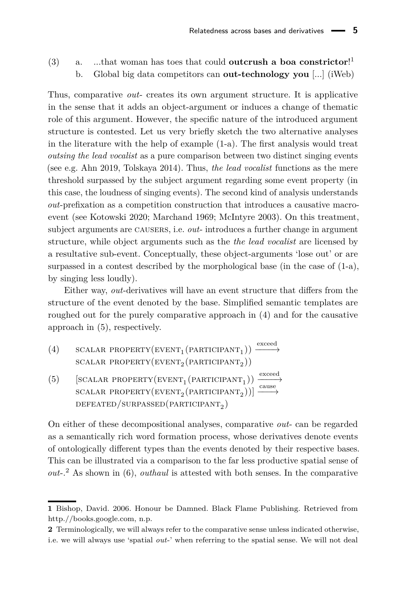(3) a. ...that woman has toes that could **outcrush a boa constrictor**! [1](#page-4-0) b. Global big data competitors can **out-technology you** [...] (iWeb)

Thus, comparative *out*- creates its own argument structure. It is applicative in the sense that it adds an object-argument or induces a change of thematic role of this argument. However, the specific nature of the introduced argument structure is contested. Let us very briefly sketch the two alternative analyses in the literature with the help of example [\(1-a\).](#page-3-0) The first analysis would treat *outsing the lead vocalist* as a pure comparison between two distinct singing events (see e.g. [Ahn 2019,](#page-39-3) [Tolskaya 2014\)](#page-41-9). Thus, *the lead vocalist* functions as the mere threshold surpassed by the subject argument regarding some event property (in this case, the loudness of singing events). The second kind of analysis understands *out*-prefixation as a competition construction that introduces a causative macroevent (see [Kotowski 2020;](#page-40-5) [Marchand 1969;](#page-40-6) [McIntyre 2003\)](#page-41-11). On this treatment, subject arguments are causers, i.e. *out*- introduces a further change in argument structure, while object arguments such as the *the lead vocalist* are licensed by a resultative sub-event. Conceptually, these object-arguments 'lose out' or are surpassed in a contest described by the morphological base (in the case of  $(1-a)$ , by singing less loudly).

Either way, *out*-derivatives will have an event structure that differs from the structure of the event denoted by the base. Simplified semantic templates are roughed out for the purely comparative approach in (4) and for the causative approach in [\(5\),](#page-4-1) respectively.

- (4) SCALAR PROPERTY(EVENT<sub>1</sub>(PARTICIPANT<sub>1</sub>)) exceed SCALAR PROPERTY(EVENT<sub>2</sub>(PARTICIPANT<sub>2</sub>))
- <span id="page-4-1"></span>(5)  $[\text{SCALAR PROPERTY}(\text{EVENT}_1(\text{PARTICIPANT}_1)) \xrightarrow{\text{exceed}}]$ SCALAR PROPERTY(EVENT<sub>2</sub>(PARTICIPANT<sub>2</sub>))]  $\xrightarrow{\text{cause}}$  $\rm{DEFEATED/SURPASSED(PARTICIPANT}_{2})$

On either of these decompositional analyses, comparative *out*- can be regarded as a semantically rich word formation process, whose derivatives denote events of ontologically different types than the events denoted by their respective bases. This can be illustrated via a comparison to the far less productive spatial sense of *out*-. [2](#page-4-2) As shown in (6), *outhaul* is attested with both senses. In the comparative

<span id="page-4-0"></span>**<sup>1</sup>** Bishop, David. 2006. Honour be Damned. Black Flame Publishing. Retrieved from http.//books.google.com, n.p.

<span id="page-4-2"></span>**<sup>2</sup>** Terminologically, we will always refer to the comparative sense unless indicated otherwise, i.e. we will always use 'spatial *out*-' when referring to the spatial sense. We will not deal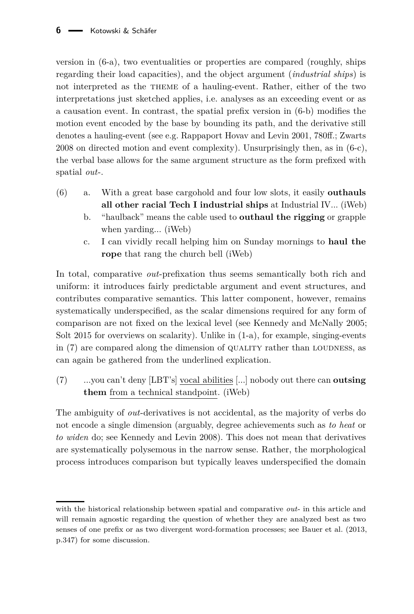version in (6-a), two eventualities or properties are compared (roughly, ships regarding their load capacities), and the object argument (*industrial ships*) is not interpreted as the THEME of a hauling-event. Rather, either of the two interpretations just sketched applies, i.e. analyses as an exceeding event or as a causation event. In contrast, the spatial prefix version in (6-b) modifies the motion event encoded by the base by bounding its path, and the derivative still denotes a hauling-event (see e.g. [Rappaport Hovav and Levin 2001,](#page-41-12) 780ff.; [Zwarts](#page-42-1) [2008](#page-42-1) on directed motion and event complexity). Unsurprisingly then, as in  $(6-c)$ , the verbal base allows for the same argument structure as the form prefixed with spatial *out*-.

- (6) a. With a great base cargohold and four low slots, it easily **outhauls all other racial Tech I industrial ships** at Industrial IV... (iWeb)
	- b. "haulback" means the cable used to **outhaul the rigging** or grapple when yarding... (iWeb)
	- c. I can vividly recall helping him on Sunday mornings to **haul the rope** that rang the church bell (iWeb)

In total, comparative *out*-prefixation thus seems semantically both rich and uniform: it introduces fairly predictable argument and event structures, and contributes comparative semantics. This latter component, however, remains systematically underspecified, as the scalar dimensions required for any form of comparison are not fixed on the lexical level (see [Kennedy and McNally 2005;](#page-40-7) [Solt 2015](#page-41-13) for overviews on scalarity). Unlike in [\(1-a\),](#page-3-0) for example, singing-events in (7) are compared along the dimension of QUALITY rather than LOUDNESS, as can again be gathered from the underlined explication.

(7) ...you can't deny [LBT's] vocal abilities [...] nobody out there can **outsing them** from a technical standpoint. (iWeb)

The ambiguity of *out*-derivatives is not accidental, as the majority of verbs do not encode a single dimension (arguably, degree achievements such as *to heat* or *to widen* do; see [Kennedy and Levin 2008\)](#page-40-8). This does not mean that derivatives are systematically polysemous in the narrow sense. Rather, the morphological process introduces comparison but typically leaves underspecified the domain

with the historical relationship between spatial and comparative *out*- in this article and will remain agnostic regarding the question of whether they are analyzed best as two senses of one prefix or as two divergent word-formation processes; see [Bauer et al. \(2013,](#page-39-1) p.347) for some discussion.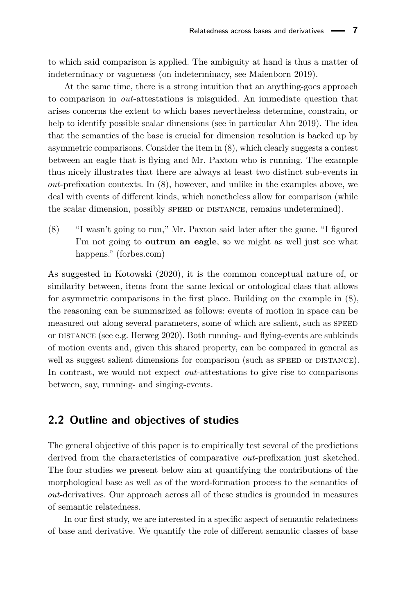to which said comparison is applied. The ambiguity at hand is thus a matter of indeterminacy or vagueness (on indeterminacy, see [Maienborn 2019\)](#page-40-9).

At the same time, there is a strong intuition that an anything-goes approach to comparison in *out*-attestations is misguided. An immediate question that arises concerns the extent to which bases nevertheless determine, constrain, or help to identify possible scalar dimensions (see in particular Ahn 2019). The idea that the semantics of the base is crucial for dimension resolution is backed up by asymmetric comparisons. Consider the item in (8), which clearly suggests a contest between an eagle that is flying and Mr. Paxton who is running. The example thus nicely illustrates that there are always at least two distinct sub-events in *out*-prefixation contexts. In (8), however, and unlike in the examples above, we deal with events of different kinds, which nonetheless allow for comparison (while the scalar dimension, possibly SPEED or DISTANCE, remains undetermined).

(8) "I wasn't going to run," Mr. Paxton said later after the game. "I figured I'm not going to **outrun an eagle**, so we might as well just see what happens." (forbes.com)

As suggested in [Kotowski \(2020\)](#page-40-5), it is the common conceptual nature of, or similarity between, items from the same lexical or ontological class that allows for asymmetric comparisons in the first place. Building on the example in (8), the reasoning can be summarized as follows: events of motion in space can be measured out along several parameters, some of which are salient, such as speed or distance (see e.g. [Herweg 2020\)](#page-40-10). Both running- and flying-events are subkinds of motion events and, given this shared property, can be compared in general as well as suggest salient dimensions for comparison (such as SPEED or DISTANCE). In contrast, we would not expect *out*-attestations to give rise to comparisons between, say, running- and singing-events.

#### **2.2 Outline and objectives of studies**

The general objective of this paper is to empirically test several of the predictions derived from the characteristics of comparative *out*-prefixation just sketched. The four studies we present below aim at quantifying the contributions of the morphological base as well as of the word-formation process to the semantics of *out*-derivatives. Our approach across all of these studies is grounded in measures of semantic relatedness.

In our first study, we are interested in a specific aspect of semantic relatedness of base and derivative. We quantify the role of different semantic classes of base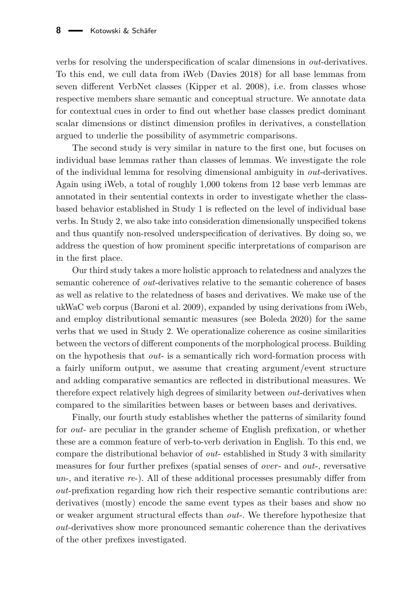verbs for resolving the underspecification of scalar dimensions in *out*-derivatives. To this end, we cull data from iWeb [\(Davies 2018\)](#page-39-4) for all base lemmas from seven different VerbNet classes [\(Kipper et al. 2008\)](#page-40-11), i.e. from classes whose respective members share semantic and conceptual structure. We annotate data for contextual cues in order to find out whether base classes predict dominant scalar dimensions or distinct dimension profiles in derivatives, a constellation argued to underlie the possibility of asymmetric comparisons.

The second study is very similar in nature to the first one, but focuses on individual base lemmas rather than classes of lemmas. We investigate the role of the individual lemma for resolving dimensional ambiguity in *out*-derivatives. Again using iWeb, a total of roughly 1,000 tokens from 12 base verb lemmas are annotated in their sentential contexts in order to investigate whether the classbased behavior established in Study 1 is reflected on the level of individual base verbs. In Study 2, we also take into consideration dimensionally unspecified tokens and thus quantify non-resolved underspecification of derivatives. By doing so, we address the question of how prominent specific interpretations of comparison are in the first place.

Our third study takes a more holistic approach to relatedness and analyzes the semantic coherence of *out*-derivatives relative to the semantic coherence of bases as well as relative to the relatedness of bases and derivatives. We make use of the ukWaC web corpus [\(Baroni et al. 2009\)](#page-39-5), expanded by using derivations from iWeb, and employ distributional semantic measures (see [Boleda 2020\)](#page-39-6) for the same verbs that we used in Study 2. We operationalize coherence as cosine similarities between the vectors of different components of the morphological process. Building on the hypothesis that *out*- is a semantically rich word-formation process with a fairly uniform output, we assume that creating argument/event structure and adding comparative semantics are reflected in distributional measures. We therefore expect relatively high degrees of similarity between *out*-derivatives when compared to the similarities between bases or between bases and derivatives.

Finally, our fourth study establishes whether the patterns of similarity found for *out*- are peculiar in the grander scheme of English prefixation, or whether these are a common feature of verb-to-verb derivation in English. To this end, we compare the distributional behavior of *out*- established in Study 3 with similarity measures for four further prefixes (spatial senses of *over*- and *out*-, reversative *un*-, and iterative *re*-). All of these additional processes presumably differ from *out*-prefixation regarding how rich their respective semantic contributions are: derivatives (mostly) encode the same event types as their bases and show no or weaker argument structural effects than *out*-. We therefore hypothesize that *out*-derivatives show more pronounced semantic coherence than the derivatives of the other prefixes investigated.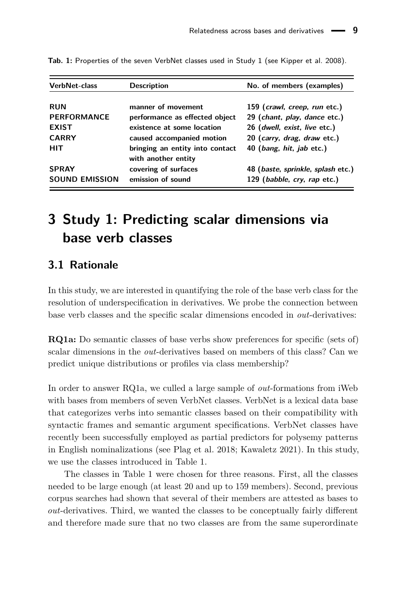| <b>VerbNet-class</b>  | <b>Description</b>                                     | No. of members (examples)         |
|-----------------------|--------------------------------------------------------|-----------------------------------|
| <b>RUN</b>            | manner of movement                                     | 159 (crawl, creep, run etc.)      |
| <b>PERFORMANCE</b>    | performance as effected object                         | 29 (chant, play, dance etc.)      |
| <b>EXIST</b>          | existence at some location                             | 26 (dwell, exist, live etc.)      |
| <b>CARRY</b>          | caused accompanied motion                              | 20 (carry, drag, draw etc.)       |
| <b>HIT</b>            | bringing an entity into contact<br>with another entity | 40 (bang, hit, jab etc.)          |
| <b>SPRAY</b>          | covering of surfaces                                   | 48 (baste, sprinkle, splash etc.) |
| <b>SOUND EMISSION</b> | emission of sound                                      | 129 (babble, cry, rap etc.)       |

<span id="page-8-0"></span>Tab. 1: Properties of the seven VerbNet classes used in Study 1 (see [Kipper et al. 2008\)](#page-40-11).

# **3 Study 1: Predicting scalar dimensions via base verb classes**

#### <span id="page-8-1"></span>**3.1 Rationale**

In this study, we are interested in quantifying the role of the base verb class for the resolution of underspecification in derivatives. We probe the connection between base verb classes and the specific scalar dimensions encoded in *out*-derivatives:

**RQ1a:** Do semantic classes of base verbs show preferences for specific (sets of) scalar dimensions in the *out*-derivatives based on members of this class? Can we predict unique distributions or profiles via class membership?

In order to answer RQ1a, we culled a large sample of *out*-formations from iWeb with bases from members of seven VerbNet classes. VerbNet is a lexical data base that categorizes verbs into semantic classes based on their compatibility with syntactic frames and semantic argument specifications. VerbNet classes have recently been successfully employed as partial predictors for polysemy patterns in English nominalizations (see [Plag et al. 2018;](#page-41-7) [Kawaletz 2021\)](#page-40-3). In this study, we use the classes introduced in Table [1.](#page-8-0)

The classes in Table [1](#page-8-0) were chosen for three reasons. First, all the classes needed to be large enough (at least 20 and up to 159 members). Second, previous corpus searches had shown that several of their members are attested as bases to *out*-derivatives. Third, we wanted the classes to be conceptually fairly different and therefore made sure that no two classes are from the same superordinate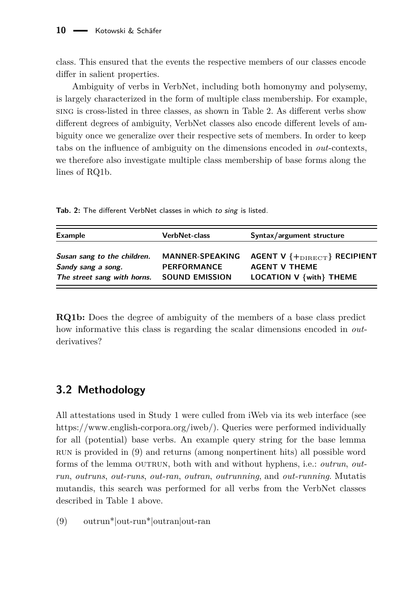class. This ensured that the events the respective members of our classes encode differ in salient properties.

Ambiguity of verbs in VerbNet, including both homonymy and polysemy, is largely characterized in the form of multiple class membership. For example, sing is cross-listed in three classes, as shown in Table [2.](#page-9-0) As different verbs show different degrees of ambiguity, VerbNet classes also encode different levels of ambiguity once we generalize over their respective sets of members. In order to keep tabs on the influence of ambiguity on the dimensions encoded in *out*-contexts, we therefore also investigate multiple class membership of base forms along the lines of RQ1b.

<span id="page-9-0"></span>**Tab. 2:** The different VerbNet classes in which to sing is listed.

| <b>Example</b>              | <b>VerbNet-class</b>   | Syntax/argument structure                 |
|-----------------------------|------------------------|-------------------------------------------|
| Susan sang to the children. | <b>MANNER-SPEAKING</b> | AGENT V $\{+_{\text{DIRECT}}\}$ RECIPIENT |
| Sandy sang a song.          | <b>PERFORMANCE</b>     | <b>AGENT V THEME</b>                      |
| The street sang with horns. | <b>SOUND EMISSION</b>  | LOCATION V {with} THEME                   |

**RQ1b:** Does the degree of ambiguity of the members of a base class predict how informative this class is regarding the scalar dimensions encoded in *out*derivatives?

### **3.2 Methodology**

All attestations used in Study 1 were culled from iWeb via its web interface (see https://www.english-corpora.org/iweb/). Queries were performed individually for all (potential) base verbs. An example query string for the base lemma run is provided in (9) and returns (among nonpertinent hits) all possible word forms of the lemma outrun, both with and without hyphens, i.e.: *outrun*, *outrun*, *outruns*, *out-runs*, *out-ran*, *outran*, *outrunning*, and *out-running*. Mutatis mutandis, this search was performed for all verbs from the VerbNet classes described in Table [1](#page-8-0) above.

<span id="page-9-1"></span>(9) outrun\*|out-run\*|outran|out-ran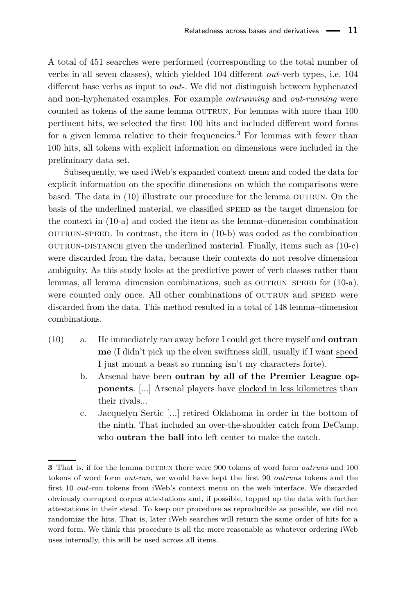A total of 451 searches were performed (corresponding to the total number of verbs in all seven classes), which yielded 104 different *out*-verb types, i.e. 104 different base verbs as input to *out*-. We did not distinguish between hyphenated and non-hyphenated examples. For example *outrunning* and *out-running* were counted as tokens of the same lemma outrun. For lemmas with more than 100 pertinent hits, we selected the first 100 hits and included different word forms for a given lemma relative to their frequencies.[3](#page-10-0) For lemmas with fewer than 100 hits, all tokens with explicit information on dimensions were included in the preliminary data set.

Subsequently, we used iWeb's expanded context menu and coded the data for explicit information on the specific dimensions on which the comparisons were based. The data in (10) illustrate our procedure for the lemma outrun. On the basis of the underlined material, we classified speed as the target dimension for the context in (10-a) and coded the item as the lemma–dimension combination  $\overline{O}$  OUTRUN-SPEED. In contrast, the item in (10-b) was coded as the combination  $\overline{\text{OUTRUN-DISTANCE}}$  given the underlined material. Finally, items such as  $(10-c)$ were discarded from the data, because their contexts do not resolve dimension ambiguity. As this study looks at the predictive power of verb classes rather than lemmas, all lemma–dimension combinations, such as  $\text{OUTRUN–SPEED}$  for  $(10-a)$ , were counted only once. All other combinations of OUTRUN and SPEED were discarded from the data. This method resulted in a total of 148 lemma–dimension combinations.

- (10) a. He immediately ran away before I could get there myself and **outran me** (I didn't pick up the elven swiftness skill, usually if I want speed I just mount a beast so running isn't my characters forte).
	- b. Arsenal have been **outran by all of the Premier League opponents**. [...] Arsenal players have clocked in less kilometres than their rivals...
	- c. Jacquelyn Sertic [...] retired Oklahoma in order in the bottom of the ninth. That included an over-the-shoulder catch from DeCamp, who **outran the ball** into left center to make the catch.

<span id="page-10-1"></span><span id="page-10-0"></span>**<sup>3</sup>** That is, if for the lemma outrun there were 900 tokens of word form *outruns* and 100 tokens of word form *out-ran*, we would have kept the first 90 *outruns* tokens and the first 10 *out-ran* tokens from iWeb's context menu on the web interface. We discarded obviously corrupted corpus attestations and, if possible, topped up the data with further attestations in their stead. To keep our procedure as reproducible as possible, we did not randomize the hits. That is, later iWeb searches will return the same order of hits for a word form. We think this procedure is all the more reasonable as whatever ordering iWeb uses internally, this will be used across all items.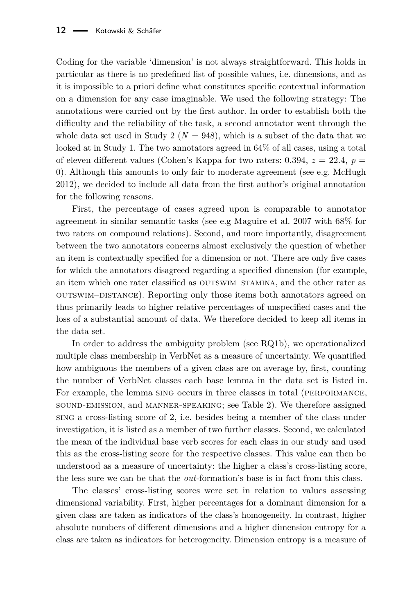Coding for the variable 'dimension' is not always straightforward. This holds in particular as there is no predefined list of possible values, i.e. dimensions, and as it is impossible to a priori define what constitutes specific contextual information on a dimension for any case imaginable. We used the following strategy: The annotations were carried out by the first author. In order to establish both the difficulty and the reliability of the task, a second annotator went through the whole data set used in Study 2 ( $N = 948$ ), which is a subset of the data that we looked at in Study 1. The two annotators agreed in 64% of all cases, using a total of eleven different values (Cohen's Kappa for two raters:  $0.394$ ,  $z = 22.4$ ,  $p =$ 0). Although this amounts to only fair to moderate agreement (see e.g. [McHugh](#page-41-14) [2012\)](#page-41-14), we decided to include all data from the first author's original annotation for the following reasons.

First, the percentage of cases agreed upon is comparable to annotator agreement in similar semantic tasks (see e.g [Maguire et al. 2007](#page-40-12) with 68% for two raters on compound relations). Second, and more importantly, disagreement between the two annotators concerns almost exclusively the question of whether an item is contextually specified for a dimension or not. There are only five cases for which the annotators disagreed regarding a specified dimension (for example, an item which one rater classified as outswim–stamina, and the other rater as outswim–distance). Reporting only those items both annotators agreed on thus primarily leads to higher relative percentages of unspecified cases and the loss of a substantial amount of data. We therefore decided to keep all items in the data set.

In order to address the ambiguity problem (see RQ1b), we operationalized multiple class membership in VerbNet as a measure of uncertainty. We quantified how ambiguous the members of a given class are on average by, first, counting the number of VerbNet classes each base lemma in the data set is listed in. For example, the lemma SING occurs in three classes in total (PERFORMANCE, sound-emission, and manner-speaking; see Table [2\)](#page-9-0). We therefore assigned sing a cross-listing score of 2, i.e. besides being a member of the class under investigation, it is listed as a member of two further classes. Second, we calculated the mean of the individual base verb scores for each class in our study and used this as the cross-listing score for the respective classes. This value can then be understood as a measure of uncertainty: the higher a class's cross-listing score, the less sure we can be that the *out*-formation's base is in fact from this class.

The classes' cross-listing scores were set in relation to values assessing dimensional variability. First, higher percentages for a dominant dimension for a given class are taken as indicators of the class's homogeneity. In contrast, higher absolute numbers of different dimensions and a higher dimension entropy for a class are taken as indicators for heterogeneity. Dimension entropy is a measure of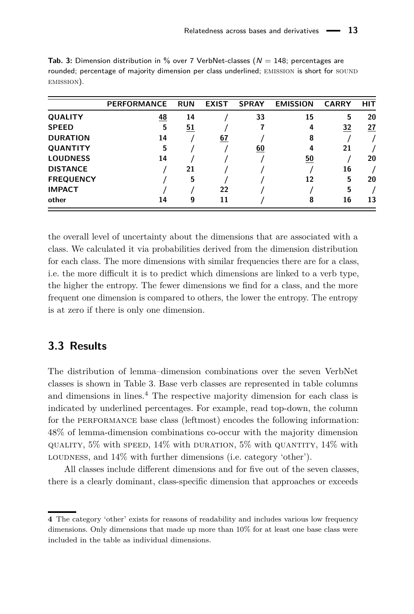|                  | <b>PERFORMANCE</b> | <b>RUN</b> | <b>EXIST</b> | <b>SPRAY</b> | <b>EMISSION</b> | <b>CARRY</b> | <b>HIT</b> |
|------------------|--------------------|------------|--------------|--------------|-----------------|--------------|------------|
| <b>QUALITY</b>   | 48                 | 14         |              | 33           | 15              | 5            | 20         |
| <b>SPEED</b>     | 5                  | 51         |              |              | 4               | 32           | 27         |
| <b>DURATION</b>  | 14                 |            | 67           |              | 8               |              |            |
| QUANTITY         | 5                  |            |              | 60           |                 | 21           |            |
| <b>LOUDNESS</b>  | 14                 |            |              |              | 50              |              | 20         |
| <b>DISTANCE</b>  |                    | 21         |              |              |                 | 16           |            |
| <b>FREQUENCY</b> |                    | 5          |              |              | 12              | 5            | 20         |
| <b>IMPACT</b>    |                    |            | 22           |              |                 | 5            |            |
| other            | 14                 | g          | 11           |              | 8               | 16           | 13         |

<span id="page-12-0"></span>**Tab. 3:** Dimension distribution in % over 7 VerbNet-classes ( $N = 148$ ; percentages are rounded; percentage of majority dimension per class underlined; EMISSION is short for SOUND emission).

the overall level of uncertainty about the dimensions that are associated with a class. We calculated it via probabilities derived from the dimension distribution for each class. The more dimensions with similar frequencies there are for a class, i.e. the more difficult it is to predict which dimensions are linked to a verb type, the higher the entropy. The fewer dimensions we find for a class, and the more frequent one dimension is compared to others, the lower the entropy. The entropy is at zero if there is only one dimension.

#### <span id="page-12-2"></span>**3.3 Results**

The distribution of lemma–dimension combinations over the seven VerbNet classes is shown in Table [3.](#page-12-0) Base verb classes are represented in table columns and dimensions in lines.<sup>[4](#page-12-1)</sup> The respective majority dimension for each class is indicated by underlined percentages. For example, read top-down, the column for the PERFORMANCE base class (leftmost) encodes the following information: 48% of lemma-dimension combinations co-occur with the majority dimension QUALITY,  $5\%$  with speed,  $14\%$  with duration,  $5\%$  with quantity,  $14\%$  with LOUDNESS, and 14% with further dimensions (i.e. category 'other').

All classes include different dimensions and for five out of the seven classes, there is a clearly dominant, class-specific dimension that approaches or exceeds

<span id="page-12-1"></span>**<sup>4</sup>** The category 'other' exists for reasons of readability and includes various low frequency dimensions. Only dimensions that made up more than 10% for at least one base class were included in the table as individual dimensions.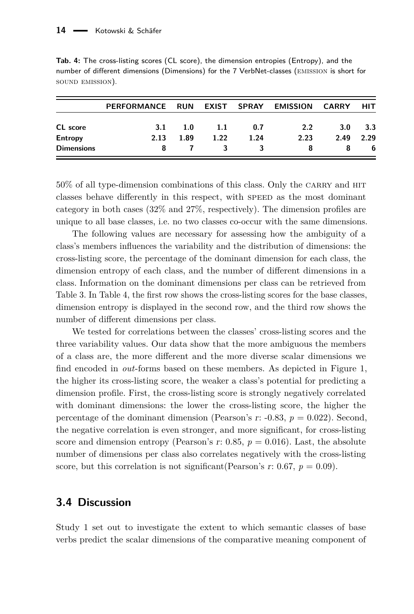|                   | <b>PERFORMANCE</b> | <b>RUN</b> | <b>EXIST</b> | <b>SPRAY</b> | <b>EMISSION</b> | <b>CARRY</b> | <b>HIT</b> |
|-------------------|--------------------|------------|--------------|--------------|-----------------|--------------|------------|
| CL score          | 3.1                | 1.0        | 1.1          | 0.7          | 2.2             | 3.0          | 3.3        |
| Entropy           | 2.13               | 1.89       | 1.22         | 1.24         | 2.23            | 2.49         | 2.29       |
| <b>Dimensions</b> | 8                  |            |              | 3            | 8               |              | b          |

<span id="page-13-0"></span>**Tab. 4:** The cross-listing scores (CL score), the dimension entropies (Entropy), and the number of different dimensions (Dimensions) for the 7 VerbNet-classes (emission is short for sound emission).

50% of all type-dimension combinations of this class. Only the CARRY and HIT classes behave differently in this respect, with speed as the most dominant category in both cases (32% and 27%, respectively). The dimension profiles are unique to all base classes, i.e. no two classes co-occur with the same dimensions.

The following values are necessary for assessing how the ambiguity of a class's members influences the variability and the distribution of dimensions: the cross-listing score, the percentage of the dominant dimension for each class, the dimension entropy of each class, and the number of different dimensions in a class. Information on the dominant dimensions per class can be retrieved from Table [3.](#page-12-0) In Table [4,](#page-13-0) the first row shows the cross-listing scores for the base classes, dimension entropy is displayed in the second row, and the third row shows the number of different dimensions per class.

We tested for correlations between the classes' cross-listing scores and the three variability values. Our data show that the more ambiguous the members of a class are, the more different and the more diverse scalar dimensions we find encoded in *out*-forms based on these members. As depicted in Figure [1,](#page-14-0) the higher its cross-listing score, the weaker a class's potential for predicting a dimension profile. First, the cross-listing score is strongly negatively correlated with dominant dimensions: the lower the cross-listing score, the higher the percentage of the dominant dimension (Pearson's  $r: -0.83$ ,  $p = 0.022$ ). Second, the negative correlation is even stronger, and more significant, for cross-listing score and dimension entropy (Pearson's  $r: 0.85$ ,  $p = 0.016$ ). Last, the absolute number of dimensions per class also correlates negatively with the cross-listing score, but this correlation is not significant(Pearson's r: 0.67,  $p = 0.09$ ).

#### **3.4 Discussion**

Study 1 set out to investigate the extent to which semantic classes of base verbs predict the scalar dimensions of the comparative meaning component of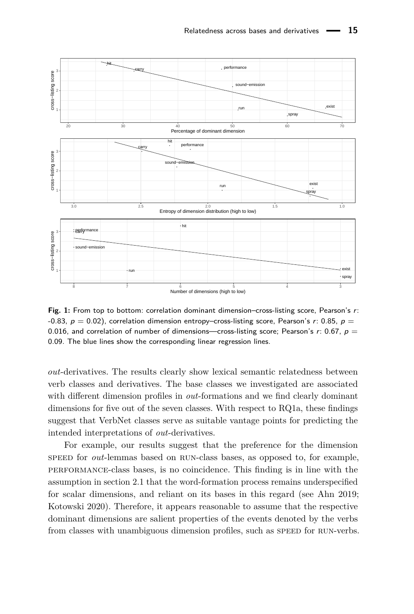<span id="page-14-0"></span>

Fig. 1: From top to bottom: correlation dominant dimension–cross-listing score, Pearson's r: -0.83,  $p = 0.02$ ), correlation dimension entropy–cross-listing score, Pearson's r: 0.85,  $p =$ 0.016, and correlation of number of dimensions—cross-listing score; Pearson's r: 0.67,  $p =$ 0.09. The blue lines show the corresponding linear regression lines.

*out*-derivatives. The results clearly show lexical semantic relatedness between verb classes and derivatives. The base classes we investigated are associated with different dimension profiles in *out*-formations and we find clearly dominant dimensions for five out of the seven classes. With respect to RQ1a, these findings suggest that VerbNet classes serve as suitable vantage points for predicting the intended interpretations of *out*-derivatives.

For example, our results suggest that the preference for the dimension speed for *out*-lemmas based on run-class bases, as opposed to, for example, performance-class bases, is no coincidence. This finding is in line with the assumption in section [2.1](#page-2-0) that the word-formation process remains underspecified for scalar dimensions, and reliant on its bases in this regard (see [Ahn 2019;](#page-39-3) [Kotowski 2020\)](#page-40-5). Therefore, it appears reasonable to assume that the respective dominant dimensions are salient properties of the events denoted by the verbs from classes with unambiguous dimension profiles, such as SPEED for RUN-verbs.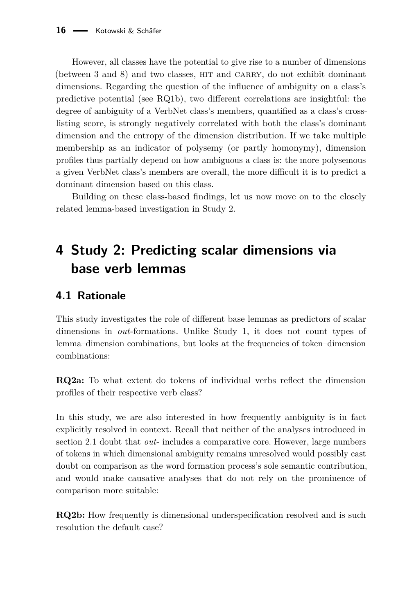However, all classes have the potential to give rise to a number of dimensions (between 3 and 8) and two classes, HIT and CARRY, do not exhibit dominant dimensions. Regarding the question of the influence of ambiguity on a class's predictive potential (see RQ1b), two different correlations are insightful: the degree of ambiguity of a VerbNet class's members, quantified as a class's crosslisting score, is strongly negatively correlated with both the class's dominant dimension and the entropy of the dimension distribution. If we take multiple membership as an indicator of polysemy (or partly homonymy), dimension profiles thus partially depend on how ambiguous a class is: the more polysemous a given VerbNet class's members are overall, the more difficult it is to predict a dominant dimension based on this class.

Building on these class-based findings, let us now move on to the closely related lemma-based investigation in Study 2.

# **4 Study 2: Predicting scalar dimensions via base verb lemmas**

### **4.1 Rationale**

This study investigates the role of different base lemmas as predictors of scalar dimensions in *out*-formations. Unlike Study 1, it does not count types of lemma–dimension combinations, but looks at the frequencies of token–dimension combinations:

**RQ2a:** To what extent do tokens of individual verbs reflect the dimension profiles of their respective verb class?

In this study, we are also interested in how frequently ambiguity is in fact explicitly resolved in context. Recall that neither of the analyses introduced in section [2.1](#page-2-0) doubt that *out*- includes a comparative core. However, large numbers of tokens in which dimensional ambiguity remains unresolved would possibly cast doubt on comparison as the word formation process's sole semantic contribution, and would make causative analyses that do not rely on the prominence of comparison more suitable:

**RQ2b:** How frequently is dimensional underspecification resolved and is such resolution the default case?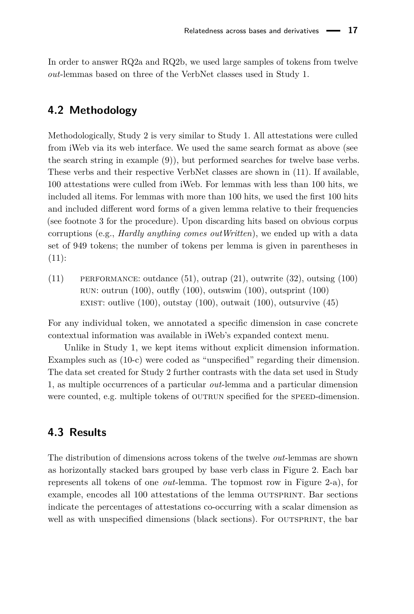In order to answer RQ2a and RQ2b, we used large samples of tokens from twelve *out*-lemmas based on three of the VerbNet classes used in Study 1.

#### **4.2 Methodology**

Methodologically, Study 2 is very similar to Study 1. All attestations were culled from iWeb via its web interface. We used the same search format as above (see the search string in example [\(9\)\)](#page-9-1), but performed searches for twelve base verbs. These verbs and their respective VerbNet classes are shown in (11). If available, 100 attestations were culled from iWeb. For lemmas with less than 100 hits, we included all items. For lemmas with more than 100 hits, we used the first 100 hits and included different word forms of a given lemma relative to their frequencies (see footnote [3](#page-10-0) for the procedure). Upon discarding hits based on obvious corpus corruptions (e.g., *Hardly anything comes outWritten*), we ended up with a data set of 949 tokens; the number of tokens per lemma is given in parentheses in  $(11):$ 

(11) PERFORMANCE: outdance  $(51)$ , outrap  $(21)$ , outwrite  $(32)$ , outsing  $(100)$ RUN: outrun  $(100)$ , outfly  $(100)$ , outswim  $(100)$ , outsprint  $(100)$ EXIST: outlive  $(100)$ , outstay  $(100)$ , outwait  $(100)$ , outsurvive  $(45)$ 

For any individual token, we annotated a specific dimension in case concrete contextual information was available in iWeb's expanded context menu.

Unlike in Study 1, we kept items without explicit dimension information. Examples such as [\(10-c\)](#page-10-1) were coded as "unspecified" regarding their dimension. The data set created for Study 2 further contrasts with the data set used in Study 1, as multiple occurrences of a particular *out*-lemma and a particular dimension were counted, e.g. multiple tokens of OUTRUN specified for the SPEED-dimension.

### **4.3 Results**

The distribution of dimensions across tokens of the twelve *out*-lemmas are shown as horizontally stacked bars grouped by base verb class in Figure [2.](#page-17-0) Each bar represents all tokens of one *out*-lemma. The topmost row in Figure [2-](#page-17-0)a), for example, encodes all 100 attestations of the lemma outsprint. Bar sections indicate the percentages of attestations co-occurring with a scalar dimension as well as with unspecified dimensions (black sections). For OUTSPRINT, the bar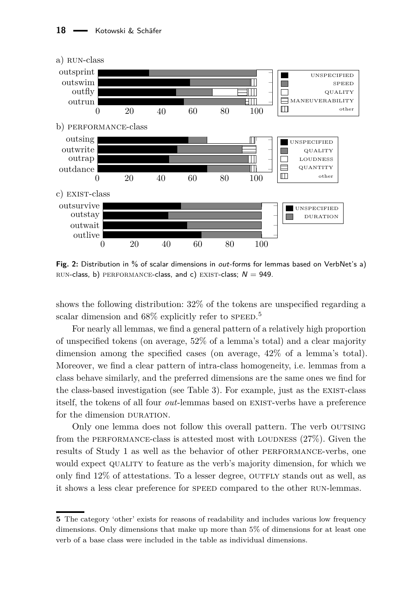<span id="page-17-0"></span>

**Fig. 2:** Distribution in % of scalar dimensions in out-forms for lemmas based on VerbNet's a) RUN-class, b) PERFORMANCE-class, and c) EXIST-class;  $N = 949$ .

shows the following distribution: 32% of the tokens are unspecified regarding a scalar dimension and 68% explicitly refer to SPEED.<sup>[5](#page-17-1)</sup>

For nearly all lemmas, we find a general pattern of a relatively high proportion of unspecified tokens (on average, 52% of a lemma's total) and a clear majority dimension among the specified cases (on average, 42% of a lemma's total). Moreover, we find a clear pattern of intra-class homogeneity, i.e. lemmas from a class behave similarly, and the preferred dimensions are the same ones we find for the class-based investigation (see Table [3\)](#page-12-0). For example, just as the EXIST-class itself, the tokens of all four *out*-lemmas based on EXIST-verbs have a preference for the dimension DURATION.

Only one lemma does not follow this overall pattern. The verb outsing from the performance-class is attested most with loudness (27%). Given the results of Study 1 as well as the behavior of other PERFORMANCE-verbs, one would expect QUALITY to feature as the verb's majority dimension, for which we only find  $12\%$  of attestations. To a lesser degree, OUTFLY stands out as well, as it shows a less clear preference for speed compared to the other run-lemmas.

<span id="page-17-1"></span>**<sup>5</sup>** The category 'other' exists for reasons of readability and includes various low frequency dimensions. Only dimensions that make up more than 5% of dimensions for at least one verb of a base class were included in the table as individual dimensions.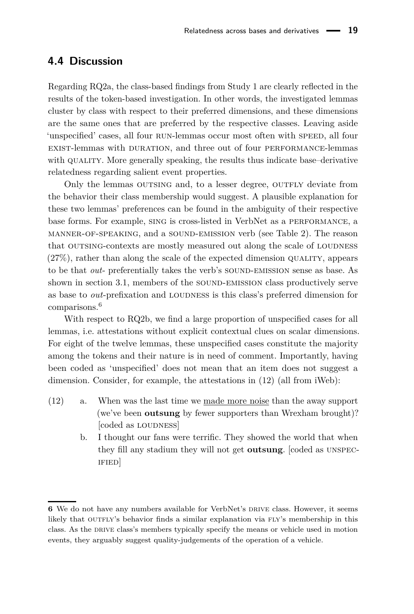#### **4.4 Discussion**

Regarding RQ2a, the class-based findings from Study 1 are clearly reflected in the results of the token-based investigation. In other words, the investigated lemmas cluster by class with respect to their preferred dimensions, and these dimensions are the same ones that are preferred by the respective classes. Leaving aside 'unspecified' cases, all four RUN-lemmas occur most often with SPEED, all four exist-lemmas with duration, and three out of four performance-lemmas with QUALITY. More generally speaking, the results thus indicate base–derivative relatedness regarding salient event properties.

Only the lemmas OUTSING and, to a lesser degree, OUTFLY deviate from the behavior their class membership would suggest. A plausible explanation for these two lemmas' preferences can be found in the ambiguity of their respective base forms. For example, sing is cross-listed in VerbNet as a performance, a manner-of-speaking, and a sound-emission verb (see Table [2\)](#page-9-0). The reason that outsing-contexts are mostly measured out along the scale of loudness  $(27\%)$ , rather than along the scale of the expected dimension QUALITY, appears to be that *out*- preferentially takes the verb's sound-emission sense as base. As shown in section [3.1,](#page-8-1) members of the SOUND-EMISSION class productively serve as base to *out*-prefixation and loudness is this class's preferred dimension for comparisons.<sup>[6](#page-18-0)</sup>

With respect to RQ2b, we find a large proportion of unspecified cases for all lemmas, i.e. attestations without explicit contextual clues on scalar dimensions. For eight of the twelve lemmas, these unspecified cases constitute the majority among the tokens and their nature is in need of comment. Importantly, having been coded as 'unspecified' does not mean that an item does not suggest a dimension. Consider, for example, the attestations in (12) (all from iWeb):

- (12) a. When was the last time we made more noise than the away support (we've been **outsung** by fewer supporters than Wrexham brought)? [coded as LOUDNESS]
	- b. I thought our fans were terrific. They showed the world that when they fill any stadium they will not get **outsung**. [coded as unspecified]

<span id="page-18-0"></span>**<sup>6</sup>** We do not have any numbers available for VerbNet's DRIVE class. However, it seems likely that OUTFLY's behavior finds a similar explanation via FLY's membership in this class. As the DRIVE class's members typically specify the means or vehicle used in motion events, they arguably suggest quality-judgements of the operation of a vehicle.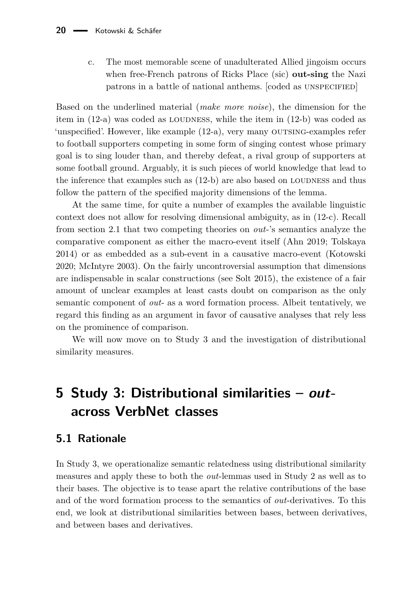c. The most memorable scene of unadulterated Allied jingoism occurs when free-French patrons of Ricks Place (sic) **out-sing** the Nazi patrons in a battle of national anthems. [coded as UNSPECIFIED]

Based on the underlined material (*make more noise*), the dimension for the item in  $(12-a)$  was coded as LOUDNESS, while the item in  $(12-b)$  was coded as 'unspecified'. However, like example (12-a), very many outsing-examples refer to football supporters competing in some form of singing contest whose primary goal is to sing louder than, and thereby defeat, a rival group of supporters at some football ground. Arguably, it is such pieces of world knowledge that lead to the inference that examples such as (12-b) are also based on loudness and thus follow the pattern of the specified majority dimensions of the lemma.

At the same time, for quite a number of examples the available linguistic context does not allow for resolving dimensional ambiguity, as in (12-c). Recall from section [2.1](#page-2-0) that two competing theories on *out*-'s semantics analyze the comparative component as either the macro-event itself [\(Ahn 2019;](#page-39-3) [Tolskaya](#page-41-9) [2014\)](#page-41-9) or as embedded as a sub-event in a causative macro-event [\(Kotowski](#page-40-5) [2020;](#page-40-5) [McIntyre 2003\)](#page-41-11). On the fairly uncontroversial assumption that dimensions are indispensable in scalar constructions (see [Solt 2015\)](#page-41-13), the existence of a fair amount of unclear examples at least casts doubt on comparison as the only semantic component of *out*- as a word formation process. Albeit tentatively, we regard this finding as an argument in favor of causative analyses that rely less on the prominence of comparison.

We will now move on to Study 3 and the investigation of distributional similarity measures.

# **5 Study 3: Distributional similarities – outacross VerbNet classes**

### <span id="page-19-0"></span>**5.1 Rationale**

In Study 3, we operationalize semantic relatedness using distributional similarity measures and apply these to both the *out*-lemmas used in Study 2 as well as to their bases. The objective is to tease apart the relative contributions of the base and of the word formation process to the semantics of *out*-derivatives. To this end, we look at distributional similarities between bases, between derivatives, and between bases and derivatives.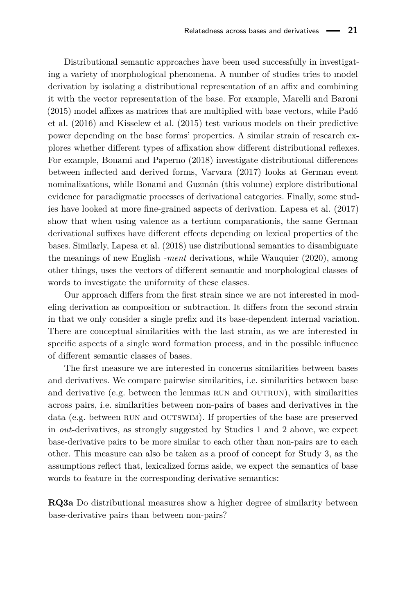Distributional semantic approaches have been used successfully in investigating a variety of morphological phenomena. A number of studies tries to model derivation by isolating a distributional representation of an affix and combining it with the vector representation of the base. For example, [Marelli and Baroni](#page-41-15) [\(2015\)](#page-41-15) model affixes as matrices that are multiplied with base vectors, while [Padó](#page-41-16) [et al. \(2016\)](#page-41-16) and [Kisselew et al. \(2015\)](#page-40-13) test various models on their predictive power depending on the base forms' properties. A similar strain of research explores whether different types of affixation show different distributional reflexes. For example, [Bonami and Paperno \(2018\)](#page-39-7) investigate distributional differences between inflected and derived forms, [Varvara \(2017\)](#page-41-17) looks at German event nominalizations, while Bonami and Guzmán (this volume) explore distributional evidence for paradigmatic processes of derivational categories. Finally, some studies have looked at more fine-grained aspects of derivation. [Lapesa et al. \(2017\)](#page-40-14) show that when using valence as a tertium comparationis, the same German derivational suffixes have different effects depending on lexical properties of the bases. Similarly, [Lapesa et al. \(2018\)](#page-40-15) use distributional semantics to disambiguate the meanings of new English *-ment* derivations, while [Wauquier \(2020\)](#page-41-5), among other things, uses the vectors of different semantic and morphological classes of words to investigate the uniformity of these classes.

Our approach differs from the first strain since we are not interested in modeling derivation as composition or subtraction. It differs from the second strain in that we only consider a single prefix and its base-dependent internal variation. There are conceptual similarities with the last strain, as we are interested in specific aspects of a single word formation process, and in the possible influence of different semantic classes of bases.

The first measure we are interested in concerns similarities between bases and derivatives. We compare pairwise similarities, i.e. similarities between base and derivative (e.g. between the lemmas run and outrun), with similarities across pairs, i.e. similarities between non-pairs of bases and derivatives in the data (e.g. between RUN and OUTSWIM). If properties of the base are preserved in *out*-derivatives, as strongly suggested by Studies 1 and 2 above, we expect base-derivative pairs to be more similar to each other than non-pairs are to each other. This measure can also be taken as a proof of concept for Study 3, as the assumptions reflect that, lexicalized forms aside, we expect the semantics of base words to feature in the corresponding derivative semantics:

**RQ3a** Do distributional measures show a higher degree of similarity between base-derivative pairs than between non-pairs?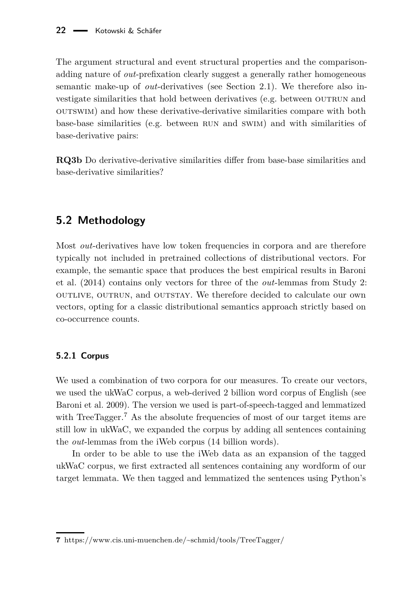The argument structural and event structural properties and the comparisonadding nature of *out*-prefixation clearly suggest a generally rather homogeneous semantic make-up of *out*-derivatives (see Section [2.1\)](#page-2-0). We therefore also investigate similarities that hold between derivatives (e.g. between OUTRUN and outswim) and how these derivative-derivative similarities compare with both base-base similarities (e.g. between run and swim) and with similarities of base-derivative pairs:

**RQ3b** Do derivative-derivative similarities differ from base-base similarities and base-derivative similarities?

### **5.2 Methodology**

Most *out*-derivatives have low token frequencies in corpora and are therefore typically not included in pretrained collections of distributional vectors. For example, the semantic space that produces the best empirical results in Baroni et al. (2014) contains only vectors for three of the *out*-lemmas from Study 2: outlive, outrun, and outstay. We therefore decided to calculate our own vectors, opting for a classic distributional semantics approach strictly based on co-occurrence counts.

#### **5.2.1 Corpus**

We used a combination of two corpora for our measures. To create our vectors, we used the ukWaC corpus, a web-derived 2 billion word corpus of English (see [Baroni et al. 2009\)](#page-39-5). The version we used is part-of-speech-tagged and lemmatized with TreeTagger.<sup>[7](#page-21-0)</sup> As the absolute frequencies of most of our target items are still low in ukWaC, we expanded the corpus by adding all sentences containing the *out*-lemmas from the iWeb corpus (14 billion words).

In order to be able to use the iWeb data as an expansion of the tagged ukWaC corpus, we first extracted all sentences containing any wordform of our target lemmata. We then tagged and lemmatized the sentences using Python's

<span id="page-21-0"></span>**<sup>7</sup>** <https://www.cis.uni-muenchen.de/~schmid/tools/TreeTagger/>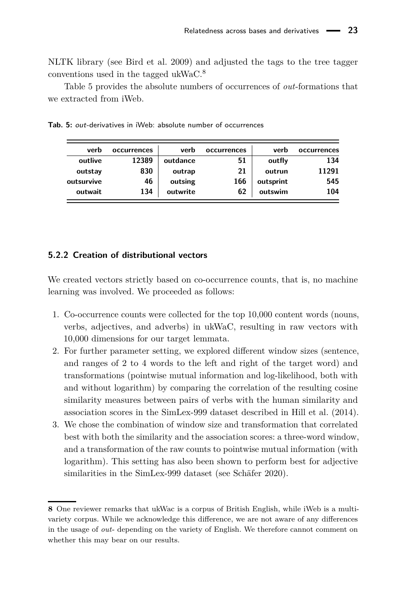NLTK library (see [Bird et al. 2009\)](#page-39-8) and adjusted the tags to the tree tagger conventions used in the tagged ukWaC.[8](#page-22-0)

Table [5](#page-22-1) provides the absolute numbers of occurrences of *out*-formations that we extracted from iWeb.

| verb       | occurrences | verb     | occurrences | verb      | occurrences |
|------------|-------------|----------|-------------|-----------|-------------|
| outlive    | 12389       | outdance | 51          | outfly    | 134         |
| outstay    | 830         | outrap   | 21          | outrun    | 11291       |
| outsurvive | 46          | outsing  | 166         | outsprint | 545         |
| outwait    | 134         | outwrite | 62          | outswim   | 104         |

<span id="page-22-1"></span>**Tab. 5:** out-derivatives in iWeb: absolute number of occurrences

#### **5.2.2 Creation of distributional vectors**

We created vectors strictly based on co-occurrence counts, that is, no machine learning was involved. We proceeded as follows:

- 1. Co-occurrence counts were collected for the top 10,000 content words (nouns, verbs, adjectives, and adverbs) in ukWaC, resulting in raw vectors with 10,000 dimensions for our target lemmata.
- 2. For further parameter setting, we explored different window sizes (sentence, and ranges of 2 to 4 words to the left and right of the target word) and transformations (pointwise mutual information and log-likelihood, both with and without logarithm) by comparing the correlation of the resulting cosine similarity measures between pairs of verbs with the human similarity and association scores in the SimLex-999 dataset described in [Hill et al. \(2014\)](#page-40-16).
- 3. We chose the combination of window size and transformation that correlated best with both the similarity and the association scores: a three-word window, and a transformation of the raw counts to pointwise mutual information (with logarithm). This setting has also been shown to perform best for adjective similarities in the SimLex-999 dataset (see [Schäfer 2020\)](#page-41-18).

<span id="page-22-0"></span>**<sup>8</sup>** One reviewer remarks that ukWac is a corpus of British English, while iWeb is a multivariety corpus. While we acknowledge this difference, we are not aware of any differences in the usage of *out*- depending on the variety of English. We therefore cannot comment on whether this may bear on our results.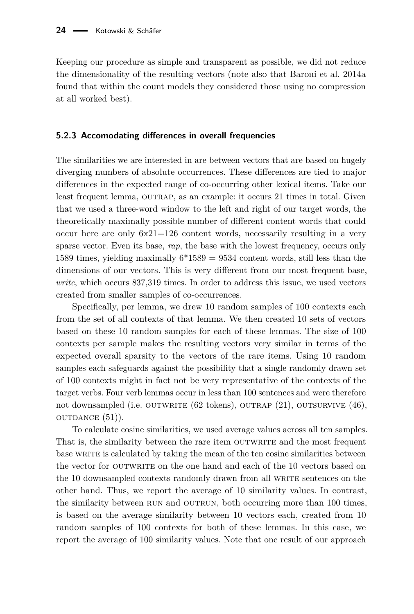Keeping our procedure as simple and transparent as possible, we did not reduce the dimensionality of the resulting vectors (note also that [Baroni et al. 2014a](#page-39-9) found that within the count models they considered those using no compression at all worked best).

#### **5.2.3 Accomodating differences in overall frequencies**

The similarities we are interested in are between vectors that are based on hugely diverging numbers of absolute occurrences. These differences are tied to major differences in the expected range of co-occurring other lexical items. Take our least frequent lemma, OUTRAP, as an example: it occurs 21 times in total. Given that we used a three-word window to the left and right of our target words, the theoretically maximally possible number of different content words that could occur here are only  $6x^21=126$  content words, necessarily resulting in a very sparse vector. Even its base, *rap*, the base with the lowest frequency, occurs only 1589 times, yielding maximally 6\*1589 = 9534 content words, still less than the dimensions of our vectors. This is very different from our most frequent base, *write*, which occurs 837,319 times. In order to address this issue, we used vectors created from smaller samples of co-occurrences.

Specifically, per lemma, we drew 10 random samples of 100 contexts each from the set of all contexts of that lemma. We then created 10 sets of vectors based on these 10 random samples for each of these lemmas. The size of 100 contexts per sample makes the resulting vectors very similar in terms of the expected overall sparsity to the vectors of the rare items. Using 10 random samples each safeguards against the possibility that a single randomly drawn set of 100 contexts might in fact not be very representative of the contexts of the target verbs. Four verb lemmas occur in less than 100 sentences and were therefore not downsampled (i.e. OUTWRITE (62 tokens), OUTRAP (21), OUTSURVIVE (46), OUTDANCE  $(51)$ ).

To calculate cosine similarities, we used average values across all ten samples. That is, the similarity between the rare item OUTWRITE and the most frequent base WRITE is calculated by taking the mean of the ten cosine similarities between the vector for OUTWRITE on the one hand and each of the 10 vectors based on the 10 downsampled contexts randomly drawn from all WRITE sentences on the other hand. Thus, we report the average of 10 similarity values. In contrast, the similarity between run and outrun, both occurring more than 100 times, is based on the average similarity between 10 vectors each, created from 10 random samples of 100 contexts for both of these lemmas. In this case, we report the average of 100 similarity values. Note that one result of our approach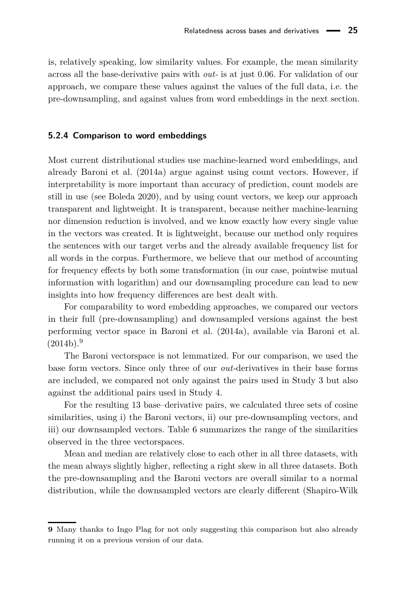is, relatively speaking, low similarity values. For example, the mean similarity across all the base-derivative pairs with *out-* is at just 0.06. For validation of our approach, we compare these values against the values of the full data, i.e. the pre-downsampling, and against values from word embeddings in the next section.

#### <span id="page-24-1"></span>**5.2.4 Comparison to word embeddings**

Most current distributional studies use machine-learned word embeddings, and already [Baroni et al. \(2014a\)](#page-39-9) argue against using count vectors. However, if interpretability is more important than accuracy of prediction, count models are still in use (see [Boleda 2020\)](#page-39-6), and by using count vectors, we keep our approach transparent and lightweight. It is transparent, because neither machine-learning nor dimension reduction is involved, and we know exactly how every single value in the vectors was created. It is lightweight, because our method only requires the sentences with our target verbs and the already available frequency list for all words in the corpus. Furthermore, we believe that our method of accounting for frequency effects by both some transformation (in our case, pointwise mutual information with logarithm) and our downsampling procedure can lead to new insights into how frequency differences are best dealt with.

For comparability to word embedding approaches, we compared our vectors in their full (pre-downsampling) and downsampled versions against the best performing vector space in [Baroni et al. \(2014a\)](#page-39-9), available via [Baroni et al.](#page-39-10)  $(2014b).<sup>9</sup>$  $(2014b).<sup>9</sup>$  $(2014b).<sup>9</sup>$  $(2014b).<sup>9</sup>$ 

The Baroni vectorspace is not lemmatized. For our comparison, we used the base form vectors. Since only three of our *out-*derivatives in their base forms are included, we compared not only against the pairs used in Study 3 but also against the additional pairs used in Study 4.

For the resulting 13 base–derivative pairs, we calculated three sets of cosine similarities, using i) the Baroni vectors, ii) our pre-downsampling vectors, and iii) our downsampled vectors. Table [6](#page-25-0) summarizes the range of the similarities observed in the three vectorspaces.

Mean and median are relatively close to each other in all three datasets, with the mean always slightly higher, reflecting a right skew in all three datasets. Both the pre-downsampling and the Baroni vectors are overall similar to a normal distribution, while the downsampled vectors are clearly different (Shapiro-Wilk

<span id="page-24-0"></span>**<sup>9</sup>** Many thanks to Ingo Plag for not only suggesting this comparison but also already running it on a previous version of our data.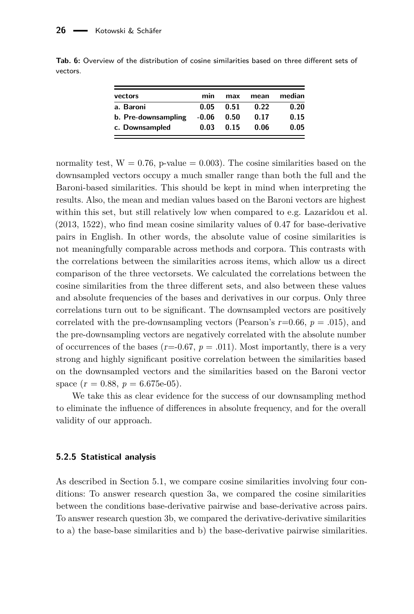| vectors             | min     | max  | mean | median |
|---------------------|---------|------|------|--------|
| a. Baroni           | 0.05    | 0.51 | 0.22 | 0.20   |
| b. Pre-downsampling | $-0.06$ | 0.50 | 0.17 | 0.15   |
| c. Downsampled      | 0.03    | 0.15 | 0.06 | 0.05   |

<span id="page-25-0"></span>**Tab. 6:** Overview of the distribution of cosine similarities based on three different sets of vectors.

normality test,  $W = 0.76$ , p-value  $= 0.003$ ). The cosine similarities based on the downsampled vectors occupy a much smaller range than both the full and the Baroni-based similarities. This should be kept in mind when interpreting the results. Also, the mean and median values based on the Baroni vectors are highest within this set, but still relatively low when compared to e.g. [Lazaridou et al.](#page-40-17) [\(2013,](#page-40-17) 1522), who find mean cosine similarity values of 0.47 for base-derivative pairs in English. In other words, the absolute value of cosine similarities is not meaningfully comparable across methods and corpora. This contrasts with the correlations between the similarities across items, which allow us a direct comparison of the three vectorsets. We calculated the correlations between the cosine similarities from the three different sets, and also between these values and absolute frequencies of the bases and derivatives in our corpus. Only three correlations turn out to be significant. The downsampled vectors are positively correlated with the pre-downsampling vectors (Pearson's  $r=0.66$ ,  $p=.015$ ), and the pre-downsampling vectors are negatively correlated with the absolute number of occurrences of the bases ( $r=-0.67$ ,  $p=.011$ ). Most importantly, there is a very strong and highly significant positive correlation between the similarities based on the downsampled vectors and the similarities based on the Baroni vector space  $(r = 0.88, p = 6.675e-05)$ .

We take this as clear evidence for the success of our downsampling method to eliminate the influence of differences in absolute frequency, and for the overall validity of our approach.

#### **5.2.5 Statistical analysis**

As described in Section [5.1,](#page-19-0) we compare cosine similarities involving four conditions: To answer research question 3a, we compared the cosine similarities between the conditions base-derivative pairwise and base-derivative across pairs. To answer research question 3b, we compared the derivative-derivative similarities to a) the base-base similarities and b) the base-derivative pairwise similarities.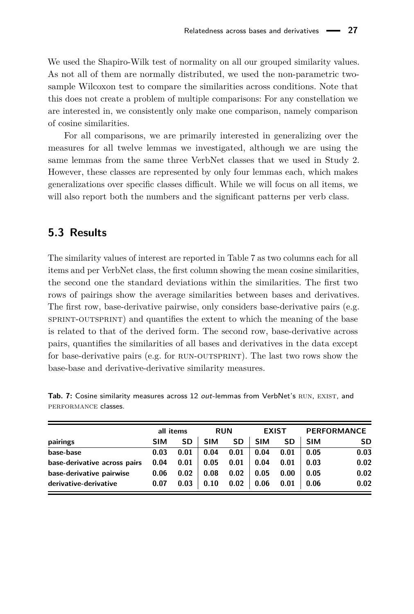We used the Shapiro-Wilk test of normality on all our grouped similarity values. As not all of them are normally distributed, we used the non-parametric twosample Wilcoxon test to compare the similarities across conditions. Note that this does not create a problem of multiple comparisons: For any constellation we are interested in, we consistently only make one comparison, namely comparison of cosine similarities.

For all comparisons, we are primarily interested in generalizing over the measures for all twelve lemmas we investigated, although we are using the same lemmas from the same three VerbNet classes that we used in Study 2. However, these classes are represented by only four lemmas each, which makes generalizations over specific classes difficult. While we will focus on all items, we will also report both the numbers and the significant patterns per verb class.

#### **5.3 Results**

The similarity values of interest are reported in Table [7](#page-26-0) as two columns each for all items and per VerbNet class, the first column showing the mean cosine similarities, the second one the standard deviations within the similarities. The first two rows of pairings show the average similarities between bases and derivatives. The first row, base-derivative pairwise, only considers base-derivative pairs (e.g. sprint-outsprint) and quantifies the extent to which the meaning of the base is related to that of the derived form. The second row, base-derivative across pairs, quantifies the similarities of all bases and derivatives in the data except for base-derivative pairs (e.g. for run-outsprint). The last two rows show the base-base and derivative-derivative similarity measures.

|                              | all items  |           | <b>RUN</b> |           | <b>EXIST</b> |           | <b>PERFORMANCE</b> |           |
|------------------------------|------------|-----------|------------|-----------|--------------|-----------|--------------------|-----------|
| pairings                     | <b>SIM</b> | <b>SD</b> | <b>SIM</b> | <b>SD</b> | <b>SIM</b>   | <b>SD</b> | <b>SIM</b>         | <b>SD</b> |
| base-base                    | 0.03       | 0.01      | 0.04       | 0.01      | 0.04         | 0.01      | 0.05               | 0.03      |
| base-derivative across pairs | 0.04       | 0.01      | 0.05       | 0.01      | 0.04         | 0.01      | 0.03               | 0.02      |
| base-derivative pairwise     | 0.06       | 0.02      | 0.08       | 0.02      | 0.05         | 0.00      | 0.05               | 0.02      |
| derivative-derivative        | 0.07       | 0.03      | 0.10       | 0.02      | 0.06         | 0.01      | 0.06               | 0.02      |

<span id="page-26-0"></span>Tab. 7: Cosine similarity measures across 12 out-lemmas from VerbNet's RUN, EXIST, and performance classes.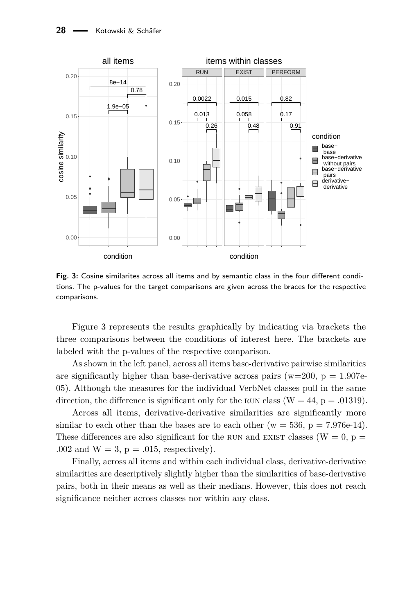<span id="page-27-0"></span>

**Fig. 3:** Cosine similarites across all items and by semantic class in the four different conditions. The p-values for the target comparisons are given across the braces for the respective comparisons.

Figure [3](#page-27-0) represents the results graphically by indicating via brackets the three comparisons between the conditions of interest here. The brackets are labeled with the p-values of the respective comparison.

As shown in the left panel, across all items base-derivative pairwise similarities are significantly higher than base-derivative across pairs ( $w=200$ ,  $p = 1.907e$ -05). Although the measures for the individual VerbNet classes pull in the same direction, the difference is significant only for the RUN class ( $W = 44$ ,  $p = .01319$ ).

Across all items, derivative-derivative similarities are significantly more similar to each other than the bases are to each other ( $w = 536$ ,  $p = 7.976e-14$ ). These differences are also significant for the RUN and EXIST classes ( $W = 0$ ,  $p =$ .002 and  $W = 3$ ,  $p = .015$ , respectively).

Finally, across all items and within each individual class, derivative-derivative similarities are descriptively slightly higher than the similarities of base-derivative pairs, both in their means as well as their medians. However, this does not reach significance neither across classes nor within any class.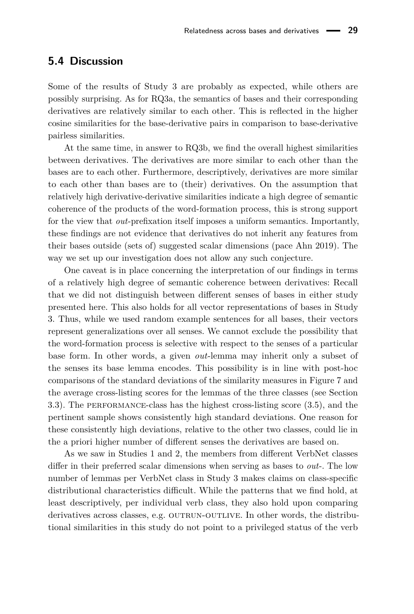#### **5.4 Discussion**

Some of the results of Study 3 are probably as expected, while others are possibly surprising. As for RQ3a, the semantics of bases and their corresponding derivatives are relatively similar to each other. This is reflected in the higher cosine similarities for the base-derivative pairs in comparison to base-derivative pairless similarities.

At the same time, in answer to RQ3b, we find the overall highest similarities between derivatives. The derivatives are more similar to each other than the bases are to each other. Furthermore, descriptively, derivatives are more similar to each other than bases are to (their) derivatives. On the assumption that relatively high derivative-derivative similarities indicate a high degree of semantic coherence of the products of the word-formation process, this is strong support for the view that *out*-prefixation itself imposes a uniform semantics. Importantly, these findings are not evidence that derivatives do not inherit any features from their bases outside (sets of) suggested scalar dimensions (pace [Ahn 2019\)](#page-39-3). The way we set up our investigation does not allow any such conjecture.

One caveat is in place concerning the interpretation of our findings in terms of a relatively high degree of semantic coherence between derivatives: Recall that we did not distinguish between different senses of bases in either study presented here. This also holds for all vector representations of bases in Study 3. Thus, while we used random example sentences for all bases, their vectors represent generalizations over all senses. We cannot exclude the possibility that the word-formation process is selective with respect to the senses of a particular base form. In other words, a given *out*-lemma may inherit only a subset of the senses its base lemma encodes. This possibility is in line with post-hoc comparisons of the standard deviations of the similarity measures in Figure [7](#page-26-0) and the average cross-listing scores for the lemmas of the three classes (see Section [3.3\)](#page-12-2). The performance-class has the highest cross-listing score (3.5), and the pertinent sample shows consistently high standard deviations. One reason for these consistently high deviations, relative to the other two classes, could lie in the a priori higher number of different senses the derivatives are based on.

As we saw in Studies 1 and 2, the members from different VerbNet classes differ in their preferred scalar dimensions when serving as bases to *out*-. The low number of lemmas per VerbNet class in Study 3 makes claims on class-specific distributional characteristics difficult. While the patterns that we find hold, at least descriptively, per individual verb class, they also hold upon comparing derivatives across classes, e.g. OUTRUN-OUTLIVE. In other words, the distributional similarities in this study do not point to a privileged status of the verb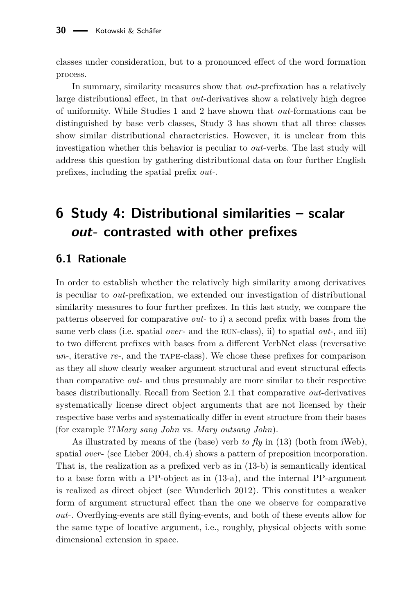classes under consideration, but to a pronounced effect of the word formation process.

In summary, similarity measures show that *out*-prefixation has a relatively large distributional effect, in that *out*-derivatives show a relatively high degree of uniformity. While Studies 1 and 2 have shown that *out*-formations can be distinguished by base verb classes, Study 3 has shown that all three classes show similar distributional characteristics. However, it is unclear from this investigation whether this behavior is peculiar to *out*-verbs. The last study will address this question by gathering distributional data on four further English prefixes, including the spatial prefix *out-*.

# **6 Study 4: Distributional similarities – scalar out- contrasted with other prefixes**

#### **6.1 Rationale**

In order to establish whether the relatively high similarity among derivatives is peculiar to *out*-prefixation, we extended our investigation of distributional similarity measures to four further prefixes. In this last study, we compare the patterns observed for comparative *out-* to i) a second prefix with bases from the same verb class (i.e. spatial *over*- and the run-class), ii) to spatial *out-*, and iii) to two different prefixes with bases from a different VerbNet class (reversative *un-*, iterative *re-*, and the tape-class). We chose these prefixes for comparison as they all show clearly weaker argument structural and event structural effects than comparative *out*- and thus presumably are more similar to their respective bases distributionally. Recall from Section [2.1](#page-2-0) that comparative *out*-derivatives systematically license direct object arguments that are not licensed by their respective base verbs and systematically differ in event structure from their bases (for example ??*Mary sang John* vs. *Mary outsang John*).

As illustrated by means of the (base) verb *to fly* in (13) (both from iWeb), spatial *over*- (see [Lieber 2004,](#page-40-0) ch.4) shows a pattern of preposition incorporation. That is, the realization as a prefixed verb as in (13-b) is semantically identical to a base form with a PP-object as in (13-a), and the internal PP-argument is realized as direct object (see [Wunderlich 2012\)](#page-42-0). This constitutes a weaker form of argument structural effect than the one we observe for comparative *out*-. Overflying-events are still flying-events, and both of these events allow for the same type of locative argument, i.e., roughly, physical objects with some dimensional extension in space.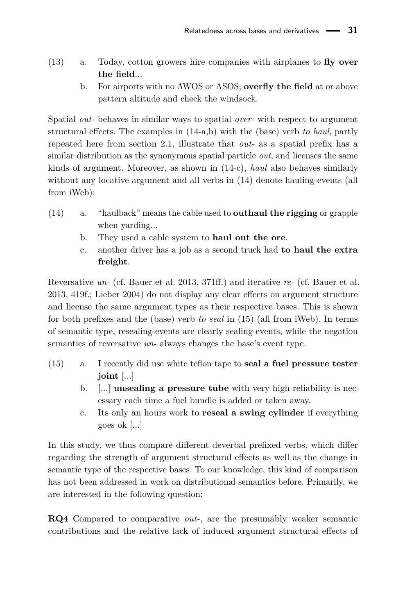- (13) a. Today, cotton growers hire companies with airplanes to **fly over the field**...
	- b. For airports with no AWOS or ASOS, **overfly the field** at or above pattern altitude and check the windsock.

Spatial *out-* behaves in similar ways to spatial *over-* with respect to argument structural effects. The examples in (14-a,b) with the (base) verb *to haul*, partly repeated here from section [2.1,](#page-2-0) illustrate that *out*- as a spatial prefix has a similar distribution as the synonymous spatial particle *out*, and licenses the same kinds of argument. Moreover, as shown in (14-c), *haul* also behaves similarly without any locative argument and all verbs in (14) denote hauling-events (all from iWeb):

- (14) a. "haulback" means the cable used to **outhaul the rigging** or grapple when yarding...
	- b. They used a cable system to **haul out the ore**.
	- c. another driver has a job as a second truck had **to haul the extra freight**.

Reversative *un-* (cf. [Bauer et al. 2013,](#page-39-1) 371ff.) and iterative *re-* (cf. [Bauer et al.](#page-39-1) [2013,](#page-39-1) 419f.; [Lieber 2004\)](#page-40-0) do not display any clear effects on argument structure and license the same argument types as their respective bases. This is shown for both prefixes and the (base) verb *to seal* in (15) (all from iWeb). In terms of semantic type, resealing-events are clearly sealing-events, while the negation semantics of reversative *un*- always changes the base's event type.

- (15) a. I recently did use white teflon tape to **seal a fuel pressure tester joint** [...]
	- b. [...] **unsealing a pressure tube** with very high reliability is necessary each time a fuel bundle is added or taken away.
	- c. Its only an hours work to **reseal a swing cylinder** if everything goes ok [...]

In this study, we thus compare different deverbal prefixed verbs, which differ regarding the strength of argument structural effects as well as the change in semantic type of the respective bases. To our knowledge, this kind of comparison has not been addressed in work on distributional semantics before. Primarily, we are interested in the following question:

**RQ4** Compared to comparative *out*-, are the presumably weaker semantic contributions and the relative lack of induced argument structural effects of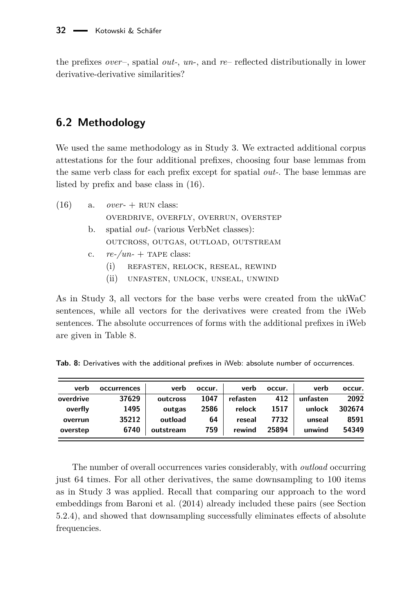the prefixes *over*–, spatial *out-*, *un*-, and *re*– reflected distributionally in lower derivative-derivative similarities?

### **6.2 Methodology**

We used the same methodology as in Study 3. We extracted additional corpus attestations for the four additional prefixes, choosing four base lemmas from the same verb class for each prefix except for spatial *out-*. The base lemmas are listed by prefix and base class in (16).

- $(16)$  a. *over* + RUN class: overdrive, overfly, overrun, overstep b. spatial *out-* (various VerbNet classes):
	- outcross, outgas, outload, outstream
	- c.  $re$ -/un- + TAPE class:
		- (i) refasten, relock, reseal, rewind
		- (ii) unfasten, unlock, unseal, unwind

As in Study 3, all vectors for the base verbs were created from the ukWaC sentences, while all vectors for the derivatives were created from the iWeb sentences. The absolute occurrences of forms with the additional prefixes in iWeb are given in Table [8.](#page-31-0)

<span id="page-31-0"></span>**Tab. 8:** Derivatives with the additional prefixes in iWeb: absolute number of occurrences.

| verb      | occurrences | verb      | occur. | verb     | occur. | verb     | occur. |
|-----------|-------------|-----------|--------|----------|--------|----------|--------|
| overdrive | 37629       | outcross  | 1047   | refasten | 412    | unfasten | 2092   |
| overfly   | 1495        | outgas    | 2586   | relock   | 1517   | unlock   | 302674 |
| overrun   | 35212       | outload   | 64     | reseal   | 7732   | unseal   | 8591   |
| overstep  | 6740        | outstream | 759    | rewind   | 25894  | unwind   | 54349  |

The number of overall occurrences varies considerably, with *outload* occurring just 64 times. For all other derivatives, the same downsampling to 100 items as in Study 3 was applied. Recall that comparing our approach to the word embeddings from Baroni et al. (2014) already included these pairs (see Section [5.2.4\)](#page-24-1), and showed that downsampling successfully eliminates effects of absolute frequencies.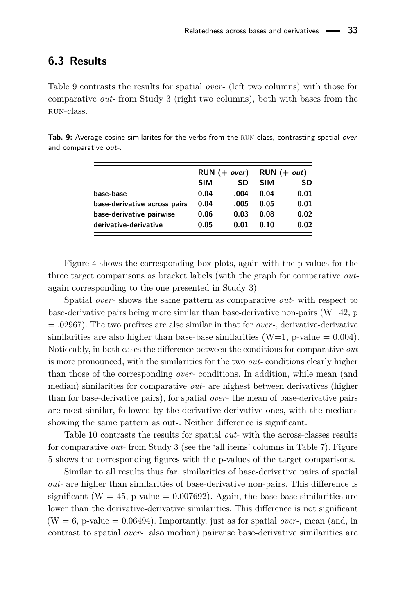#### **6.3 Results**

Table [9](#page-32-0) contrasts the results for spatial *over*- (left two columns) with those for comparative *out-* from Study 3 (right two columns), both with bases from the run-class.

|                              |            | $RUN (+ over)$ | $RUN (+ out)$ |      |  |
|------------------------------|------------|----------------|---------------|------|--|
|                              | <b>SIM</b> | SD             | <b>SIM</b>    | SD   |  |
| base-base                    | 0.04       | .004           | 0.04          | 0.01 |  |
| base-derivative across pairs | 0.04       | .005           | 0.05          | 0.01 |  |
| base-derivative pairwise     | 0.06       | 0.03           | 0.08          | 0.02 |  |
| derivative-derivative        | 0.05       | 0.01           | 0.10          | 0.02 |  |

<span id="page-32-0"></span>Tab. 9: Average cosine similarites for the verbs from the RUN class, contrasting spatial overand comparative out-.

Figure [4](#page-33-0) shows the corresponding box plots, again with the p-values for the three target comparisons as bracket labels (with the graph for comparative *out*again corresponding to the one presented in Study 3).

Spatial *over*- shows the same pattern as comparative *out*- with respect to base-derivative pairs being more similar than base-derivative non-pairs  $(W=42, p$ = .02967). The two prefixes are also similar in that for *over*-, derivative-derivative similarities are also higher than base-base similarities  $(W=1, p-value = 0.004)$ . Noticeably, in both cases the difference between the conditions for comparative *out* is more pronounced, with the similarities for the two *out-* conditions clearly higher than those of the corresponding *over-* conditions. In addition, while mean (and median) similarities for comparative *out*- are highest between derivatives (higher than for base-derivative pairs), for spatial *over*- the mean of base-derivative pairs are most similar, followed by the derivative-derivative ones, with the medians showing the same pattern as out-. Neither difference is significant.

Table [10](#page-35-0) contrasts the results for spatial *out-* with the across-classes results for comparative *out-* from Study 3 (see the 'all items' columns in Table [7\)](#page-26-0). Figure [5](#page-34-0) shows the corresponding figures with the p-values of the target comparisons.

Similar to all results thus far, similarities of base-derivative pairs of spatial *out-* are higher than similarities of base-derivative non-pairs. This difference is significant ( $W = 45$ , p-value = 0.007692). Again, the base-base similarities are lower than the derivative-derivative similarities. This difference is not significant  $(W = 6, p-value = 0.06494)$ . Importantly, just as for spatial *over*-, mean (and, in contrast to spatial *over-*, also median) pairwise base-derivative similarities are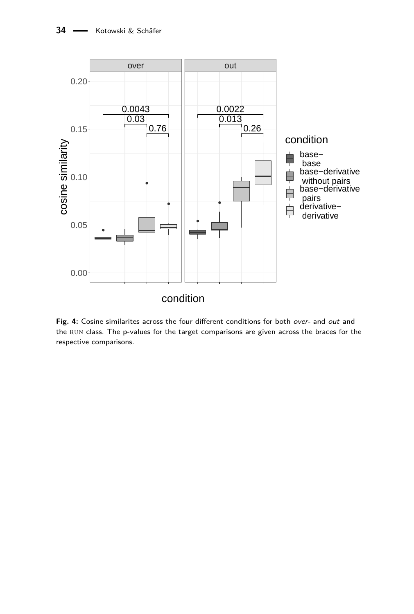<span id="page-33-0"></span>

Fig. 4: Cosine similarites across the four different conditions for both over- and out and the run class. The p-values for the target comparisons are given across the braces for the respective comparisons.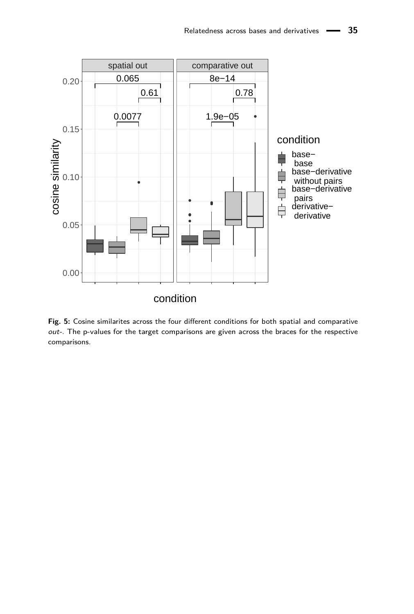<span id="page-34-0"></span>

**Fig. 5:** Cosine similarites across the four different conditions for both spatial and comparative out-. The p-values for the target comparisons are given across the braces for the respective comparisons.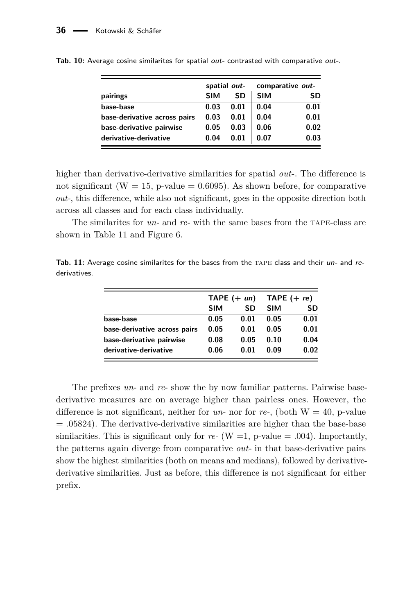|                              |            | spatial out- | comparative out- |      |
|------------------------------|------------|--------------|------------------|------|
| pairings                     | <b>SIM</b> | SD           | <b>SIM</b>       | SD   |
| base-base                    | 0.03       | 0.01         | 0.04             | 0.01 |
| base-derivative across pairs | 0.03       | 0.01         | 0.04             | 0.01 |
| base-derivative pairwise     | 0.05       | 0.03         | 0.06             | 0.02 |
| derivative-derivative        | 0.04       | 0.01         | 0.07             | 0.03 |

<span id="page-35-0"></span>Tab. 10: Average cosine similarites for spatial out- contrasted with comparative out-.

higher than derivative-derivative similarities for spatial *out*-. The difference is not significant ( $W = 15$ , p-value = 0.6095). As shown before, for comparative *out-*, this difference, while also not significant, goes in the opposite direction both across all classes and for each class individually.

The similarites for *un-* and *re-* with the same bases from the tape-class are shown in Table [11](#page-35-1) and Figure [6.](#page-36-0)

<span id="page-35-1"></span>Tab. 11: Average cosine similarites for the bases from the TAPE class and their un- and rederivatives.

|                              | TAPE $(+ un)$ |      | TAPE $(+ re)$ |      |
|------------------------------|---------------|------|---------------|------|
|                              | <b>SIM</b>    | SD   | <b>SIM</b>    | SD   |
| base-base                    | 0.05          | 0.01 | 0.05          | 0.01 |
| base-derivative across pairs | 0.05          | 0.01 | 0.05          | 0.01 |
| base-derivative pairwise     | 0.08          | 0.05 | 0.10          | 0.04 |
| derivative-derivative        | 0.06          | 0.01 | 0.09          | 0.02 |

The prefixes *un*- and *re*- show the by now familiar patterns. Pairwise basederivative measures are on average higher than pairless ones. However, the difference is not significant, neither for  $un$ - nor for  $re$ -, (both  $W = 40$ , p-value = .05824). The derivative-derivative similarities are higher than the base-base similarities. This is significant only for  $re$ -  $(W = 1, p-value = .004)$ . Importantly, the patterns again diverge from comparative *out-* in that base-derivative pairs show the highest similarities (both on means and medians), followed by derivativederivative similarities. Just as before, this difference is not significant for either prefix.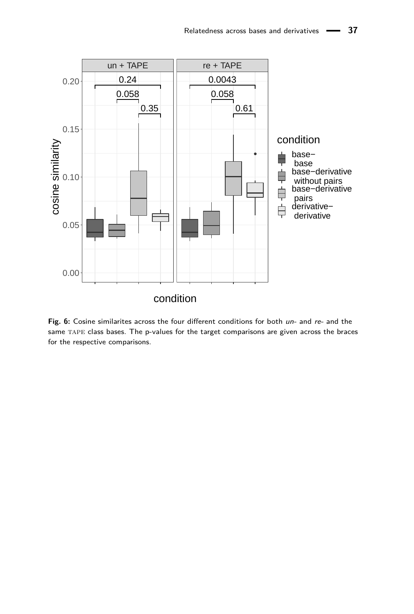<span id="page-36-0"></span>

Fig. 6: Cosine similarites across the four different conditions for both un- and re- and the same TAPE class bases. The p-values for the target comparisons are given across the braces for the respective comparisons.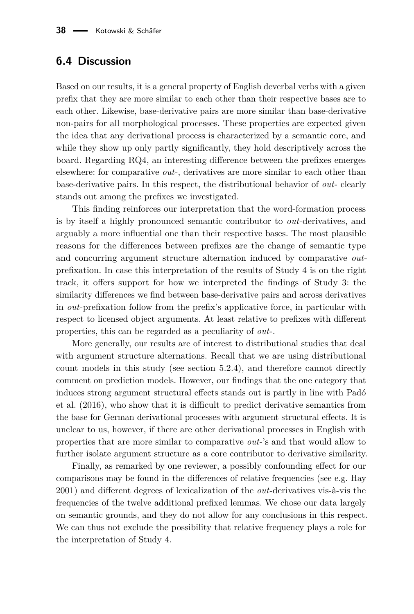#### **6.4 Discussion**

Based on our results, it is a general property of English deverbal verbs with a given prefix that they are more similar to each other than their respective bases are to each other. Likewise, base-derivative pairs are more similar than base-derivative non-pairs for all morphological processes. These properties are expected given the idea that any derivational process is characterized by a semantic core, and while they show up only partly significantly, they hold descriptively across the board. Regarding RQ4, an interesting difference between the prefixes emerges elsewhere: for comparative *out*-, derivatives are more similar to each other than base-derivative pairs. In this respect, the distributional behavior of *out*- clearly stands out among the prefixes we investigated.

This finding reinforces our interpretation that the word-formation process is by itself a highly pronounced semantic contributor to *out*-derivatives, and arguably a more influential one than their respective bases. The most plausible reasons for the differences between prefixes are the change of semantic type and concurring argument structure alternation induced by comparative *out*prefixation. In case this interpretation of the results of Study 4 is on the right track, it offers support for how we interpreted the findings of Study 3: the similarity differences we find between base-derivative pairs and across derivatives in *out*-prefixation follow from the prefix's applicative force, in particular with respect to licensed object arguments. At least relative to prefixes with different properties, this can be regarded as a peculiarity of *out*-.

More generally, our results are of interest to distributional studies that deal with argument structure alternations. Recall that we are using distributional count models in this study (see section [5.2.4\)](#page-24-1), and therefore cannot directly comment on prediction models. However, our findings that the one category that induces strong argument structural effects stands out is partly in line with [Padó](#page-41-16) [et al. \(2016\)](#page-41-16), who show that it is difficult to predict derivative semantics from the base for German derivational processes with argument structural effects. It is unclear to us, however, if there are other derivational processes in English with properties that are more similar to comparative *out*-'s and that would allow to further isolate argument structure as a core contributor to derivative similarity.

Finally, as remarked by one reviewer, a possibly confounding effect for our comparisons may be found in the differences of relative frequencies (see e.g. [Hay](#page-40-18) [2001\)](#page-40-18) and different degrees of lexicalization of the *out*-derivatives vis-à-vis the frequencies of the twelve additional prefixed lemmas. We chose our data largely on semantic grounds, and they do not allow for any conclusions in this respect. We can thus not exclude the possibility that relative frequency plays a role for the interpretation of Study 4.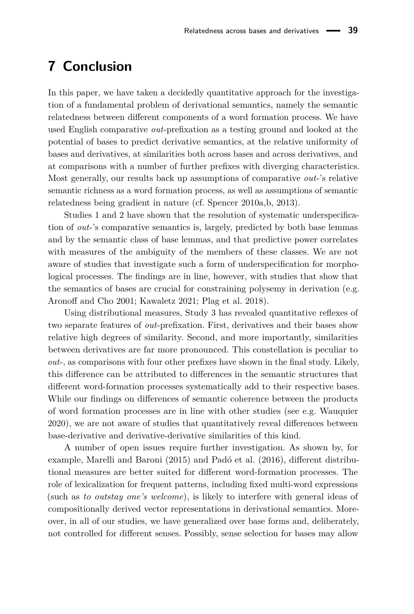### **7 Conclusion**

In this paper, we have taken a decidedly quantitative approach for the investigation of a fundamental problem of derivational semantics, namely the semantic relatedness between different components of a word formation process. We have used English comparative *out*-prefixation as a testing ground and looked at the potential of bases to predict derivative semantics, at the relative uniformity of bases and derivatives, at similarities both across bases and across derivatives, and at comparisons with a number of further prefixes with diverging characteristics. Most generally, our results back up assumptions of comparative *out*-'s relative semantic richness as a word formation process, as well as assumptions of semantic relatedness being gradient in nature (cf. [Spencer 2010a](#page-41-2)[,b,](#page-41-3) [2013\)](#page-41-1).

Studies 1 and 2 have shown that the resolution of systematic underspecification of *out*-'s comparative semantics is, largely, predicted by both base lemmas and by the semantic class of base lemmas, and that predictive power correlates with measures of the ambiguity of the members of these classes. We are not aware of studies that investigate such a form of underspecification for morphological processes. The findings are in line, however, with studies that show that the semantics of bases are crucial for constraining polysemy in derivation (e.g. [Aronoff and Cho 2001;](#page-39-2) [Kawaletz 2021;](#page-40-3) [Plag et al. 2018\)](#page-41-7).

Using distributional measures, Study 3 has revealed quantitative reflexes of two separate features of *out*-prefixation. First, derivatives and their bases show relative high degrees of similarity. Second, and more importantly, similarities between derivatives are far more pronounced. This constellation is peculiar to *out*-, as comparisons with four other prefixes have shown in the final study. Likely, this difference can be attributed to differences in the semantic structures that different word-formation processes systematically add to their respective bases. While our findings on differences of semantic coherence between the products of word formation processes are in line with other studies (see e.g. [Wauquier](#page-41-5) [2020\)](#page-41-5), we are not aware of studies that quantitatively reveal differences between base-derivative and derivative-derivative similarities of this kind.

A number of open issues require further investigation. As shown by, for example, [Marelli and Baroni \(2015\)](#page-41-15) and [Padó et al. \(2016\)](#page-41-16), different distributional measures are better suited for different word-formation processes. The role of lexicalization for frequent patterns, including fixed multi-word expressions (such as *to outstay one's welcome*), is likely to interfere with general ideas of compositionally derived vector representations in derivational semantics. Moreover, in all of our studies, we have generalized over base forms and, deliberately, not controlled for different senses. Possibly, sense selection for bases may allow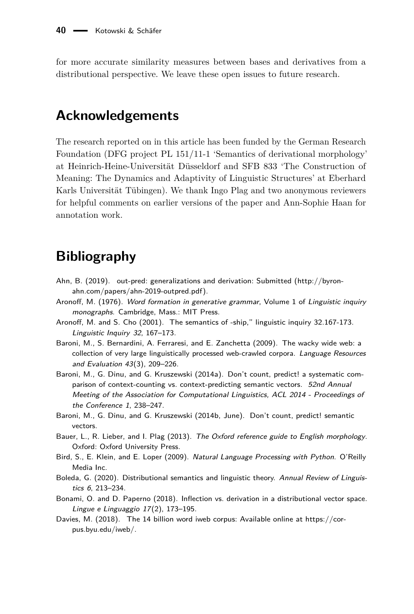for more accurate similarity measures between bases and derivatives from a distributional perspective. We leave these open issues to future research.

### **Acknowledgements**

The research reported on in this article has been funded by the German Research Foundation (DFG project PL 151/11-1 'Semantics of derivational morphology' at Heinrich-Heine-Universität Düsseldorf and SFB 833 'The Construction of Meaning: The Dynamics and Adaptivity of Linguistic Structures' at Eberhard Karls Universität Tübingen). We thank Ingo Plag and two anonymous reviewers for helpful comments on earlier versions of the paper and Ann-Sophie Haan for annotation work.

## **Bibliography**

- <span id="page-39-3"></span>Ahn, B. (2019). out-pred: generalizations and derivation: Submitted (http://byronahn.com/papers/ahn-2019-outpred.pdf).
- <span id="page-39-0"></span>Aronoff, M. (1976). Word formation in generative grammar, Volume 1 of Linguistic inquiry monographs. Cambridge, Mass.: MIT Press.
- <span id="page-39-2"></span>Aronoff, M. and S. Cho (2001). The semantics of -ship," linguistic inquiry 32.167-173. Linguistic Inquiry 32, 167–173.
- <span id="page-39-5"></span>Baroni, M., S. Bernardini, A. Ferraresi, and E. Zanchetta (2009). The wacky wide web: a collection of very large linguistically processed web-crawled corpora. Language Resources and Evaluation 43(3), 209–226.
- <span id="page-39-9"></span>Baroni, M., G. Dinu, and G. Kruszewski (2014a). Don't count, predict! a systematic comparison of context-counting vs. context-predicting semantic vectors. 52nd Annual Meeting of the Association for Computational Linguistics, ACL 2014 - Proceedings of the Conference 1, 238–247.
- <span id="page-39-10"></span>Baroni, M., G. Dinu, and G. Kruszewski (2014b, June). Don't count, predict! semantic vectors.
- <span id="page-39-1"></span>Bauer, L., R. Lieber, and I. Plag (2013). The Oxford reference guide to English morphology. Oxford: Oxford University Press.
- <span id="page-39-8"></span>Bird, S., E. Klein, and E. Loper (2009). Natural Language Processing with Python. O'Reilly Media Inc.
- <span id="page-39-6"></span>Boleda, G. (2020). Distributional semantics and linguistic theory. Annual Review of Linguistics 6, 213–234.
- <span id="page-39-7"></span>Bonami, O. and D. Paperno (2018). Inflection vs. derivation in a distributional vector space. Lingue e Linguaggio 17(2), 173–195.
- <span id="page-39-4"></span>Davies, M. (2018). The 14 billion word iweb corpus: Available online at https://corpus.byu.edu/iweb/.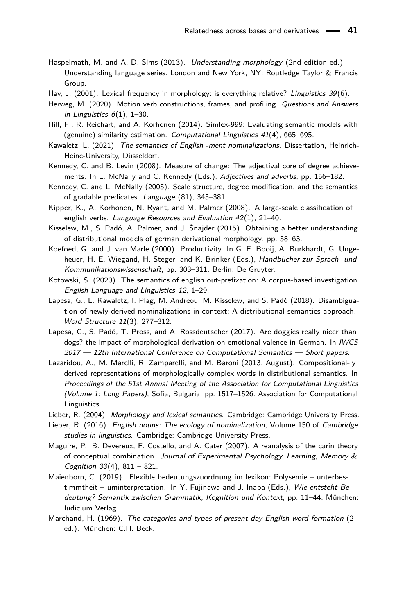- <span id="page-40-1"></span>Haspelmath, M. and A. D. Sims (2013). Understanding morphology (2nd edition ed.). Understanding language series. London and New York, NY: Routledge Taylor & Francis Group.
- <span id="page-40-18"></span>Hay, J. (2001). Lexical frequency in morphology: is everything relative? Linguistics 39(6).
- <span id="page-40-10"></span>Herweg, M. (2020). Motion verb constructions, frames, and profiling. Questions and Answers in Linguistics  $6(1)$ , 1-30.
- <span id="page-40-16"></span>Hill, F., R. Reichart, and A. Korhonen (2014). Simlex-999: Evaluating semantic models with (genuine) similarity estimation. Computational Linguistics 41(4), 665–695.
- <span id="page-40-3"></span>Kawaletz, L. (2021). The semantics of English -ment nominalizations. Dissertation, Heinrich-Heine-University, Düsseldorf.
- <span id="page-40-8"></span>Kennedy, C. and B. Levin (2008). Measure of change: The adjectival core of degree achievements. In L. McNally and C. Kennedy (Eds.), Adjectives and adverbs, pp. 156-182.
- <span id="page-40-7"></span>Kennedy, C. and L. McNally (2005). Scale structure, degree modification, and the semantics of gradable predicates. Language (81), 345–381.
- <span id="page-40-11"></span>Kipper, K., A. Korhonen, N. Ryant, and M. Palmer (2008). A large-scale classification of english verbs. Language Resources and Evaluation 42(1), 21–40.
- <span id="page-40-13"></span>Kisselew, M., S. Padó, A. Palmer, and J. Šnajder (2015). Obtaining a better understanding of distributional models of german derivational morphology. pp. 58–63.
- <span id="page-40-2"></span>Koefoed, G. and J. van Marle (2000). Productivity. In G. E. Booij, A. Burkhardt, G. Ungeheuer, H. E. Wiegand, H. Steger, and K. Brinker (Eds.), Handbücher zur Sprach- und Kommunikationswissenschaft, pp. 303–311. Berlin: De Gruyter.
- <span id="page-40-5"></span>Kotowski, S. (2020). The semantics of english out-prefixation: A corpus-based investigation. English Language and Linguistics 12, 1–29.
- <span id="page-40-15"></span>Lapesa, G., L. Kawaletz, I. Plag, M. Andreou, M. Kisselew, and S. Padó (2018). Disambiguation of newly derived nominalizations in context: A distributional semantics approach. Word Structure 11(3), 277–312.
- <span id="page-40-14"></span>Lapesa, G., S. Padó, T. Pross, and A. Rossdeutscher (2017). Are doggies really nicer than dogs? the impact of morphological derivation on emotional valence in German. In IWCS 2017 — 12th International Conference on Computational Semantics — Short papers.
- <span id="page-40-17"></span>Lazaridou, A., M. Marelli, R. Zamparelli, and M. Baroni (2013, August). Compositional-ly derived representations of morphologically complex words in distributional semantics. In Proceedings of the 51st Annual Meeting of the Association for Computational Linguistics (Volume 1: Long Papers), Sofia, Bulgaria, pp. 1517–1526. Association for Computational Linguistics.
- <span id="page-40-0"></span>Lieber, R. (2004). Morphology and lexical semantics. Cambridge: Cambridge University Press.
- <span id="page-40-4"></span>Lieber, R. (2016). *English nouns: The ecology of nominalization*, Volume 150 of *Cambridge* studies in linguistics. Cambridge: Cambridge University Press.
- <span id="page-40-12"></span>Maguire, P., B. Devereux, F. Costello, and A. Cater (2007). A reanalysis of the carin theory of conceptual combination. Journal of Experimental Psychology. Learning, Memory & Cognition 33(4), 811 – 821.
- <span id="page-40-9"></span>Maienborn, C. (2019). Flexible bedeutungszuordnung im lexikon: Polysemie – unterbestimmtheit – uminterpretation. In Y. Fujinawa and J. Inaba (Eds.), Wie entsteht Bedeutung? Semantik zwischen Grammatik, Kognition und Kontext, pp. 11–44. München: Iudicium Verlag.
- <span id="page-40-6"></span>Marchand, H. (1969). The categories and types of present-day English word-formation (2 ed.). München: C.H. Beck.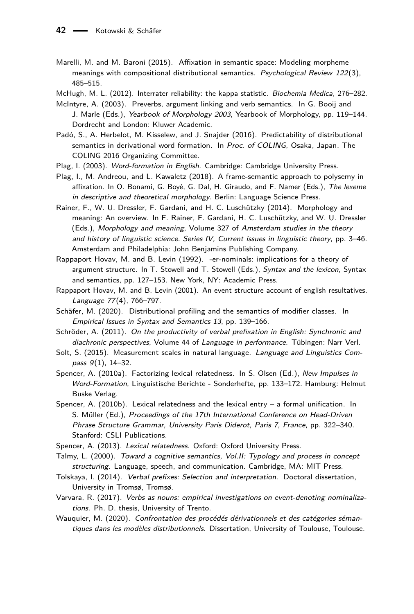- <span id="page-41-15"></span>Marelli, M. and M. Baroni (2015). Affixation in semantic space: Modeling morpheme meanings with compositional distributional semantics. Psychological Review 122(3), 485–515.
- <span id="page-41-14"></span>McHugh, M. L. (2012). Interrater reliability: the kappa statistic. Biochemia Medica, 276–282.
- <span id="page-41-11"></span>McIntyre, A. (2003). Preverbs, argument linking and verb semantics. In G. Booij and J. Marle (Eds.), Yearbook of Morphology 2003, Yearbook of Morphology, pp. 119–144. Dordrecht and London: Kluwer Academic.
- <span id="page-41-16"></span>Padó, S., A. Herbelot, M. Kisselew, and J. Snajder (2016). Predictability of distributional semantics in derivational word formation. In Proc. of COLING, Osaka, Japan. The COLING 2016 Organizing Committee.
- <span id="page-41-4"></span>Plag, I. (2003). Word-formation in English. Cambridge: Cambridge University Press.
- <span id="page-41-7"></span>Plag, I., M. Andreou, and L. Kawaletz (2018). A frame-semantic approach to polysemy in affixation. In O. Bonami, G. Boyé, G. Dal, H. Giraudo, and F. Namer (Eds.), The lexeme in descriptive and theoretical morphology. Berlin: Language Science Press.
- <span id="page-41-0"></span>Rainer, F., W. U. Dressler, F. Gardani, and H. C. Luschützky (2014). Morphology and meaning: An overview. In F. Rainer, F. Gardani, H. C. Luschützky, and W. U. Dressler (Eds.), Morphology and meaning, Volume 327 of Amsterdam studies in the theory and history of linguistic science. Series IV, Current issues in linguistic theory, pp. 3–46. Amsterdam and Philadelphia: John Benjamins Publishing Company.
- <span id="page-41-6"></span>Rappaport Hovav, M. and B. Levin (1992). -er-nominals: implications for a theory of argument structure. In T. Stowell and T. Stowell (Eds.), Syntax and the lexicon, Syntax and semantics, pp. 127–153. New York, NY: Academic Press.
- <span id="page-41-12"></span>Rappaport Hovav, M. and B. Levin (2001). An event structure account of english resultatives. Language 77(4), 766–797.
- <span id="page-41-18"></span>Schäfer, M. (2020). Distributional profiling and the semantics of modifier classes. In Empirical Issues in Syntax and Semantics 13, pp. 139–166.
- <span id="page-41-10"></span>Schröder, A. (2011). On the productivity of verbal prefixation in English: Synchronic and diachronic perspectives, Volume 44 of Language in performance. Tübingen: Narr Verl.
- <span id="page-41-13"></span>Solt, S. (2015). Measurement scales in natural language. Language and Linguistics Compass 9(1), 14–32.
- <span id="page-41-2"></span>Spencer, A. (2010a). Factorizing lexical relatedness. In S. Olsen (Ed.), New Impulses in Word-Formation, Linguistische Berichte - Sonderhefte, pp. 133–172. Hamburg: Helmut Buske Verlag.
- <span id="page-41-3"></span>Spencer, A. (2010b). Lexical relatedness and the lexical entry – a formal unification. In S. Müller (Ed.), Proceedings of the 17th International Conference on Head-Driven Phrase Structure Grammar, University Paris Diderot, Paris 7, France, pp. 322–340. Stanford: CSLI Publications.
- <span id="page-41-8"></span><span id="page-41-1"></span>Spencer, A. (2013). Lexical relatedness. Oxford: Oxford University Press.
- Talmy, L. (2000). Toward a cognitive semantics, Vol.II: Typology and process in concept structuring. Language, speech, and communication. Cambridge, MA: MIT Press.
- <span id="page-41-9"></span>Tolskaya, I. (2014). Verbal prefixes: Selection and interpretation. Doctoral dissertation, University in Tromsø, Tromsø.
- <span id="page-41-17"></span>Varvara, R. (2017). Verbs as nouns: empirical investigations on event-denoting nominalizations. Ph. D. thesis, University of Trento.
- <span id="page-41-5"></span>Wauquier, M. (2020). Confrontation des procédés dérivationnels et des catégories sémantiques dans les modèles distributionnels. Dissertation, University of Toulouse, Toulouse.